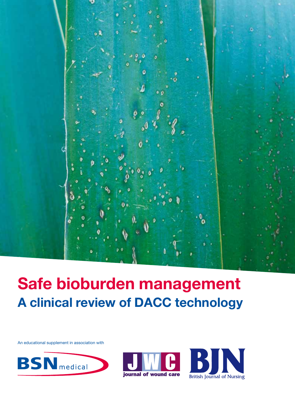

# Safe bioburden management A clinical review of DACC technology

An educational supplement in association with





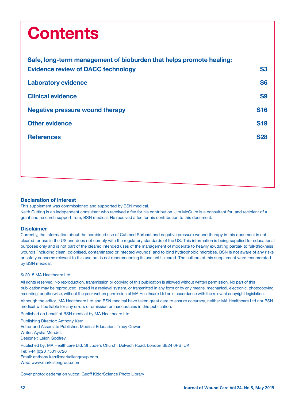# **Contents**

| Safe, long-term management of bioburden that helps promote healing: |            |
|---------------------------------------------------------------------|------------|
| <b>Evidence review of DACC technology</b>                           | <b>S3</b>  |
| <b>Laboratory evidence</b>                                          | <b>S6</b>  |
| <b>Clinical evidence</b>                                            | <b>S9</b>  |
| <b>Negative pressure wound therapy</b>                              | <b>S16</b> |
| <b>Other evidence</b>                                               | <b>S19</b> |
| <b>References</b>                                                   | <b>S28</b> |
|                                                                     |            |
|                                                                     |            |

#### Declaration of interest

This supplement was commissioned and supported by BSN medical.

Keith Cutting is an independent consultant who received a fee for his contribution. Jim McGuire is a consultant for, and recipient of a grant and research support from, BSN medical. He received a fee for his contribution to this document.

#### **Disclaimer**

Currently, the information about the combined use of Cutimed Sorbact and negative pressure wound therapy in this document is not cleared for use in the US and does not comply with the regulatory standards of the US. This information is being supplied for educational purposes only and is not part of the cleared intended uses of the management of moderate to heavily exudating partial- to full-thickness wounds (including clean, colonised, contaminated or infected wounds) and to bind hydrophobic microbes. BSN is not aware of any risks or safety concerns relevant to this use but is not recommending its use until cleared. The authors of this supplement were renumerated by BSN medical.

#### © 2015 MA Healthcare Ltd

All rights reserved. No reproduction, transmission or copying of this publication is allowed without written permission. No part of this publication may be reproduced, stored in a retrieval system, or transmitted in any form or by any means, mechanical, electronic, photocopying, recording, or otherwise, without the prior written permission of MA Healthcare Ltd or in accordance with the relevant copyright legislation.

Although the editor, MA Healthcare Ltd and BSN medical have taken great care to ensure accuracy, neither MA Healthcare Ltd nor BSN medical will be liable for any errors of omission or inaccuracies in this publication.

Published on behalf of BSN medical by MA Healthcare Ltd.

Publishing Director: Anthony Kerr Editor and Associate Publisher, Medical Education: Tracy Cowan Writer: Aysha Mendes Designer: Leigh Godfrey Published by: MA Healthcare Ltd, St Jude's Church, Dulwich Road, London SE24 0PB, UK Tel: +44 (0)20 7501 6726 Email: anthony.kerr@markallengroup.com Web: www.markallengroup.com

Cover photo: oedema on yucca; Geoff Kidd/Science Photo Library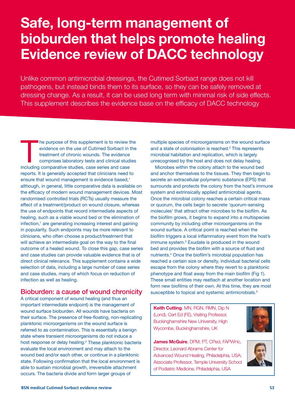## Safe, long-term management of bioburden that helps promote healing Evidence review of DACC technology

Unlike common antimicrobial dressings, the Cutimed Sorbact range does not kill pathogens, but instead binds them to its surface, so they can be safely removed at dressing change. As a result, it can be used long term with minimal risk of side effects. This supplement describes the evidence base on the efficacy of DACC technology

The purpose of this supplement is to review t<br>evidence on the use of Cutimed Sorbact in t<br>treatment of chronic wounds. The evidence<br>comprises laboratory tests and clinical studi<br>including comparative studies, case series a he purpose of this supplement is to review the evidence on the use of Cutimed Sorbact in the treatment of chronic wounds. The evidence comprises laboratory tests and clinical studies reports. It is generally accepted that clinicians need to ensure that wound management is evidence based,<sup>1</sup> although, in general, little comparative data is available on the efficacy of modern wound management devices. Most randomised controlled trials (RCTs) usually measure the effect of a treatment/product on wound closure, whereas the use of endpoints that record intermediate aspects of healing, such as a viable wound bed or the elimination of infection,<sup>1</sup> are generating increasing interest and gaining in popularity. Such endpoints may be more relevant to clinicians, who often choose a product/treatment that will achieve an intermediate goal on the way to the final outcome of a healed wound. To close this gap, case series and case studies can provide valuable evidence that is of direct clinical relevance. This supplement contains a wide selection of data, including a large number of case series and case studies, many of which focus on reduction of infection as well as healing.

### Bioburden: a cause of wound chronicity

A critical component of wound healing (and thus an important intermediate endpoint) is the management of wound surface bioburden. All wounds have bacteria on their surface. The presence of free-floating, non-replicating planktonic microorganisms on the wound surface is referred to as contamination. This is essentially a benign state where transient microorganisms do not induce a host response or delay healing.<sup>2</sup> These planktonic bacteria evaluate the local environment and may attach to the wound bed and/or each other, or continue in a planktonic state. Following confirmation that the local environment is able to sustain microbial growth, irreversible attachment occurs. The bacteria divide and form larger groups of

multiple species of microorganisms on the wound surface and a state of colonisation is reached.<sup>2</sup> This represents microbial habitation and replication, which is largely unrecognised by the host and does not delay healing.

Microbes within the colony attach to the wound bed and anchor themselves to the tissues. They then begin to secrete an extracellular polymeric substance (EPS) that surrounds and protects the colony from the host's immune system and extrinsically applied antimicrobial agents. Once the microbial colony reaches a certain critical mass or quorum, the cells begin to secrete 'quorum-sensing molecules' that attract other microbes to the biofilm. As the biofilm grows, it begins to expand into a multispecies community by including other microorganisms on the wound surface. A critical point is reached when the biofilm triggers a local inflammatory event from the host's immune system.3 Exudate is produced in the wound bed and provides the biofilm with a source of fluid and nutrients.4 Once the biofilm's microbial population has reached a certain size or density, individual bacterial cells escape from the colony where they revert to a planktonic phenotype and float away from the main biofilm (Fig 1). These small entities may reattach at another location and form new biofilms of their own. At this time, they are most susceptible to topical and systemic antimicrobials.<sup>5</sup>

Keith Cutting, MN, RGN, RMN, Dip N (Lond), Cert Ed (FE), Visiting Professor, Buckinghamshire New University, High Wycombe, Buckinghamshire, UK

James McGuire, DPM, PT, CPed, FAPWHc, Director, Leonard Abrams Center for Advanced Wound Healing, Philadelphia, USA; Associate Professor, Temple University School of Podiatric Medicine, Philadelphia, USA



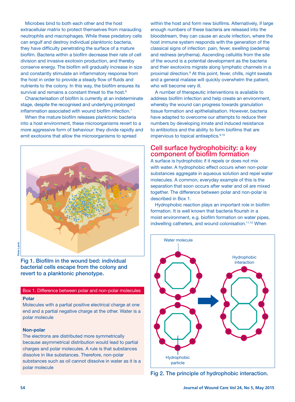Microbes bind to both each other and the host extracellular matrix to protect themselves from marauding neutrophils and macrophages. While these predatory cells can engulf and destroy individual planktonic bacteria, they have difficulty penetrating the surface of a mature biofilm. Bacteria within a biofilm decrease their rate of cell division and invasive exotoxin production, and thereby conserve energy. The biofilm will gradually increase in size and constantly stimulate an inflammatory response from the host in order to provide a steady flow of fluids and nutrients to the colony. In this way, the biofilm ensures its survival and remains a constant threat to the host.<sup>6</sup>

Characterisation of biofilm is currently at an indeterminate stage, despite the recognised and underlying prolonged inflammation associated with wound biofilm infection.<sup>7</sup>

When the mature biofilm releases planktonic bacteria into a host environment, these microorganisms revert to a more aggressive form of behaviour: they divide rapidly and emit exotoxins that allow the microorganisms to spread



Lamb Peter Lamb Peter

Fig 1. Biofilm in the wound bed: individual bacterial cells escape from the colony and revert to a planktonic phenotype.

#### Box 1. Difference between polar and non-polar molecules

#### Polar

Molecules with a partial positive electrical charge at one end and a partial negative charge at the other. Water is a polar molecule

#### Non-polar

The electrons are distributed more symmetrically because asymmetrical distribution would lead to partial charges and polar molecules. A rule is that substances dissolve in like substances. Therefore, non-polar substances such as oil cannot dissolve in water as it is a polar molecule

within the host and form new biofilms. Alternatively, if large enough numbers of these bacteria are released into the bloodstream, they can cause an acute infection, where the host immune system responds with the generation of the classical signs of infection: pain, fever, swelling (oedema) and redness (erythema). Ascending cellulitis from the site of the wound is a potential development as the bacteria and their exotoxins migrate along lymphatic channels in a proximal direction.8 At this point, fever, chills, night sweats and a general malaise will quickly overwhelm the patient, who will become very ill.

A number of therapeutic interventions is available to address biofilm infection and help create an environment, whereby the wound can progress towards granulation tissue formation and epithelialisation. However, bacteria have adapted to overcome our attempts to reduce their numbers by developing innate and induced resistance to antibiotics and the ability to form biofilms that are impervious to topical antiseptics.<sup>9,10</sup>

#### Cell surface hydrophobicity: a key component of biofilm formation

A surface is hydrophobic if it repels or does not mix with water. A hydrophobic effect occurs when non-polar substances aggregate in aqueous solution and repel water molecules. A common, everyday example of this is the separation that soon occurs after water and oil are mixed together. The difference between polar and non-polar is described in Box 1.

Hydrophobic reaction plays an important role in biofilm formation. It is well known that bacteria flourish in a moist environment, e.g. biofilm formation on water pipes, indwelling catheters, and wound colonisation.<sup>11,12</sup> When



Fig 2. The principle of hydrophobic interaction.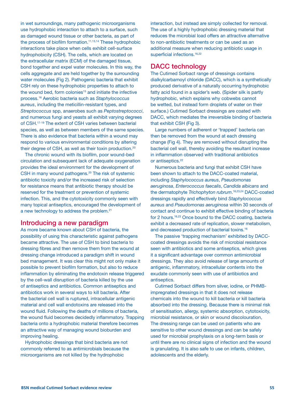in wet surroundings, many pathogenic microorganisms use hydrophobic interaction to attach to a surface, such as damaged wound tissue or other bacteria, as part of the process of biofilm formation.<sup>11,13,14</sup> These hydrophobic interactions take place when cells exhibit cell-surface hydrophobicity (CSH). The cells, which are located on the extracellular matrix (ECM) of the damaged tissue, bond together and expel water molecules. In this way, the cells aggregate and are held together by the surrounding water molecules (Fig 2). Pathogenic bacteria that exhibit CSH rely on these hydrophobic properties to attach to the wound bed, form colonies<sup>15</sup> and initiate the infective process.16 Aerobic bacteria such as *Staphylococcus aureus*, including the meticillin-resistant types, and *Streptococcus* spp, anaerobes such as *Peptostreptococci*, and numerous fungi and yeasts all exhibit varying degrees of CSH.17-19 The extent of CSH varies between bacterial species, as well as between members of the same species. There is also evidence that bacteria within a wound may respond to various environmental conditions by altering their degree of CSH, as well as their toxin production.20

The chronic wound with its biofilm, poor wound-bed circulation and subsequent lack of adequate oxygenation provides the ideal environment for the development of CSH in many wound pathogens.<sup>20</sup> The risk of systemic antibiotic toxicity and/or the increased risk of selection for resistance means that antibiotic therapy should be reserved for the treatment or prevention of systemic infection. This, and the cytotoxicity commonly seen with many topical antiseptics, encouraged the development of a new technology to address the problem.21

#### Introducing a new paradigm

As more became known about CSH of bacteria, the possibility of using this characteristic against pathogens became attractive. The use of CSH to bind bacteria to dressing fibres and then remove them from the wound at dressing change introduced a paradigm shift in wound bed management. It was clear this might not only make it possible to prevent biofilm formation, but also to reduce inflammation by eliminating the endotoxin release triggered by the cell-wall disruption of bacteria killed by the use of antiseptics and antibiotics. Common antiseptics and antibiotics work in several ways to kill bacteria. After the bacterial cell wall is ruptured, intracellular antigenic material and cell wall endotoxins are released into the wound fluid. Following the deaths of millions of bacteria, the wound fluid becomes decidedly inflammatory. Trapping bacteria onto a hydrophobic material therefore becomes an attractive way of managing wound bioburden and improving healing.

Hydrophobic dressings that bind bacteria are not commonly referred to as antimicrobials because the microorganisms are not killed by the hydrophobic

interaction, but instead are simply collected for removal. The use of a highly hydrophobic dressing material that reduces the microbial load offers an attractive alternative to non-antibiotic treatments or can be used as an additional measure when reducing antibiotic usage in superficial infections.<sup>16,22</sup>

## DACC technology

The Cutimed Sorbact range of dressings contains dialkylcarbamoyl chloride (DACC), which is a synthetically produced derivative of a naturally occurring hydrophobic fatty acid found in a spider's web. (Spider silk is partly hydrophobic, which explains why cobwebs cannot be wetted, but instead form droplets of water on their surface.) Cutimed Sorbact dressings are coated with DACC, which mediates the irreversible binding of bacteria that exhibit CSH (Fig 3).

Large numbers of adherent or 'trapped' bacteria can then be removed from the wound at each dressing change (Fig 4). They are removed without disrupting the bacterial cell wall, thereby avoiding the resultant increase in inflammation observed with traditional antibiotics or antiseptics.<sup>22</sup>

Numerous bacteria and fungi that exhibit CSH have been shown to attach to the DACC-coated material, including *Staphylococcus aureus*, *Pseudomonas aeruginosa*, *Enterococcus faecalis*, *Candida albicans* and the dermatophyte *Trichophyton rubrum*. 16,23,24 DACC-coated dressings rapidly and effectively bind *Staphylococcus aureus* and *Pseudomonas aeruginosa* within 30 seconds of contact and continue to exhibit effective binding of bacteria for 2 hours.16,23 Once bound to the DACC coating, bacteria exhibit a decreased rate of replication, slower metabolism, and decreased production of bacterial toxins.16

The passive 'trapping mechanism' exhibited by DACCcoated dressings avoids the risk of microbial resistance seen with antibiotics and some antiseptics, which gives it a significant advantage over common antimicrobial dressings. They also avoid release of large amounts of antigenic, inflammatory, intracellular contents into the exudate commonly seen with use of antibiotics and antiseptics.

Cutimed Sorbact differs from silver, iodine, or PHMBimpregnated dressings in that it does not release chemicals into the wound to kill bacteria or kill bacteria absorbed into the dressing. Because there is minimal risk of sensitisation, allergy, systemic absorption, cytotoxicity, microbial resistance, or skin or wound discolouration, The dressing range can be used on patients who are sensitive to other wound dressings and can be safely used for microbial prophylaxis on a long-term basis or until there are no clinical signs of infection and the wound is granulating. It is also safe to use on infants, children, adolescents and the elderly.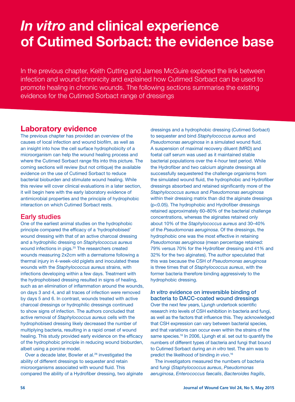## *In vitro* and clinical experience of Cutimed Sorbact: the evidence base

In the previous chapter, Keith Cutting and James McGuire explored the link between infection and wound chronicity and explained how Cutimed Sorbact can be used to promote healing in chronic wounds. The following sections summarise the existing evidence for the Cutimed Sorbact range of dressings

## Laboratory evidence

The previous chapter has provided an overview of the causes of local infection and wound biofilm, as well as an insight into how the cell surface hydrophobicity of a microorganism can help the wound healing process and where the Cutimed Sorbact range fits into this picture. The coming sections will review (but not critique) the available evidence on the use of Cutimed Sorbact to reduce bacterial bioburden and stimulate wound healing. While this review will cover clinical evaluations in a later section, it will begin here with the early laboratory evidence of antimicrobial properties and the principle of hydrophobic interaction on which Cutimed Sorbact rests.

### Early studies

One of the earliest animal studies on the hydrophobic principle compared the efficacy of a 'hydrophobised' wound dressing with that of an active charcoal dressing and a hydrophilic dressing on *Staphylococcus aureus* wound infections in pigs.<sup>25</sup> The researchers created wounds measuring 2x2cm with a dermatome following a thermal injury in 4-week-old piglets and inoculated these wounds with the *Staphylococcus aureus* strains, with infections developing within a few days. Treatment with the hydrophobised dressing resulted in signs of healing, such as an elimination of inflammation around the wounds, on days 3 and 4, and all traces of infection were removed by days 5 and 6. In contrast, wounds treated with active charcoal dressings or hydrophilic dressings continued to show signs of infection. The authors concluded that active removal of *Staphylococcus aureus* cells with the hydrophobised dressing likely decreased the number of multiplying bacteria, resulting in a rapid onset of wound healing. This study provided early evidence on the efficacy of the hydrophobic principle in reducing wound bioburden, albeit using a porcine model.

Over a decade later, Bowler et al.<sup>26</sup> investigated the ability of different dressings to sequester and retain microorganisms associated with wound fluid. This compared the ability of a Hydrofiber dressing, two alginate dressings and a hydrophobic dressing (Cutimed Sorbact) to sequester and bind *Staphylococcus aureus* and *Pseudomonas aeruginosa* in a simulated wound fluid. A suspension of maximal recovery diluent (MRD) and foetal calf serum was used as it maintained stable bacterial populations over the 4-hour test period. While the Hydrofiber and two calcium alginate dressings all successfully sequestered the challenge organisms from the simulated wound fluid, the hydrophobic and Hydrofiber dressings absorbed and retained significantly more of the *Staphylococcus aureus* and *Pseudomonas aeruginosa* within their dressing matrix than did the alginate dressings (p<0.05). The hydrophobic and Hydrofiber dressings retained approximately 60–80% of the bacterial challenge concentrations, whereas the alginates retained only about 10% of the *Staphylococcus aureus* and 30–40% of the *Pseudomonas aeruginosa*. Of the dressings, the hydrophobic one was the most effective in retaining *Pseudomonas aeruginosa* (mean percentage retained: 79% versus 70% for the Hydrofiber dressing and 41% and 32% for the two alginates). The author speculated that this was because the CSH of *Pseudomonas aeruginosa* is three times that of *Staphylococcus aureus*, with the former bacteria therefore binding aggressively to the hydrophobic dressing.

#### *In vitro* evidence on irreversible binding of bacteria to DACC-coated wound dressings

Over the next few years, Ljungh undertook scientific research into levels of CSH exhibition in bacteria and fungi, as well as the factors that influence this. They acknowledged that CSH expression can vary between bacterial species, and that variations can occur even within the strains of the same species.<sup>16</sup> In 2006, Ljungh et al. set out to quantify the numbers of different types of bacteria and fungi that bound to Cutimed Sorbact during an *in vitro* test. The aim was to predict the likelihood of binding *in vivo*. 16

The investigators measured the numbers of bacteria and fungi (*Staphylococcus aureus*, *Pseudomonas aeruginosa*, *Enterococcus faecalis*, *Bacteroides fragilis*,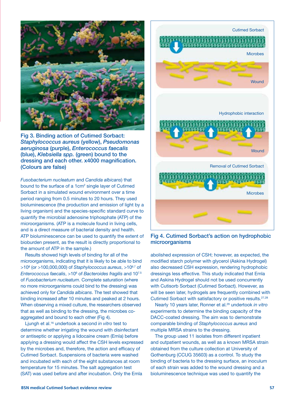

Fig 3. Binding action of Cutimed Sorbact: *Staphylococcus aureus* (yellow), *Pseudomonas aeruginosa* (purple), *Enterococcus faecalis* (blue), *Klebsiella spp.* (green) bound to the dressing and each other. x4000 magnification. (Colours are false)

*Fusobacterium nucleatum* and *Candida albicans*) that bound to the surface of a 1cm<sup>2</sup> single layer of Cutimed Sorbact in a simulated wound environment over a time period ranging from 0.5 minutes to 20 hours. They used bioluminescence (the production and emission of light by a living organism) and the species-specific standard curve to quantify the microbial adenosine triphosphate (ATP) of the microorganisms. (ATP is a molecule found in living cells, and is a direct measure of bacterial density and health. ATP bioluminescence can be used to quantify the extent of bioburden present, as the result is directly proportional to the amount of ATP in the sample.)

Results showed high levels of binding for all of the microorganisms, indicating that it is likely to be able to bind >108 (or >100,000,000) of *Staphylococcus aureus*, >106.7 of Enterococcus faecalis, >10<sup>6</sup> of *Bacteroides fragilis* and 10<sup>7.5</sup> of *Fusobacterium nucleatum*. Complete saturation (where no more microorganisms could bind to the dressing) was achieved only for *Candida albicans*. The test showed that binding increased after 10 minutes and peaked at 2 hours. When observing a mixed culture, the researchers observed that as well as binding to the dressing, the microbes coaggregated and bound to each other (Fig 4).

Ljungh et al.16 undertook a second *in vitro* test to determine whether irrigating the wound with disinfectant or antiseptic or applying a lidocaine cream (Emla) before applying a dressing would affect the CSH levels expressed by the microbes and, therefore, the action and efficacy of Cutimed Sorbact. Suspensions of bacteria were washed and incubated with each of the eight substances at room temperature for 15 minutes. The salt aggregation test (SAT) was used before and after incubation. Only the Emla



Fig 4. Cutimed Sorbact's action on hydrophobic microorganisms

abolished expression of CSH; however, as expected, the modified starch polymer with glycerol (Askina Hydrogel) also decreased CSH expression, rendering hydrophobic dressings less effective. This study indicated that Emla and Askina Hydrogel should not be used concurrently with Cutisorb Sorbact (Cutimed Sorbact). However, as will be seen later, hydrogels are frequently combined with Cutimed Sorbact with satisfactory or positive results.27,28

Nearly 10 years later, Ronner et al.29 undertook *in vitro* experiments to determine the binding capacity of the DACC-coated dressing. The aim was to demonstrate comparable binding of *Staphylococcus aureus* and multiple MRSA strains to the dressing.

The group used 11 isolates from different inpatient and outpatient wounds, as well as a known MRSA strain obtained from the culture collection at University of Gothenburg (CCUG 35603) as a control. To study the binding of bacteria to the dressing surface, an inoculum of each strain was added to the wound dressing and a bioluminescence technique was used to quantify the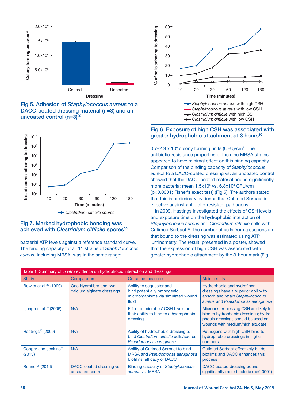





#### Fig 7. Marked hydrophobic bonding was achieved with *Clostridium difficile* spores<sup>30</sup>

bacterial ATP levels against a reference standard curve. The binding capacity for all 11 strains of *Staphylococcus aureus,* including MRSA, was in the same range:



#### Fig 6. Exposure of high CSH was associated with greater hydrophobic attachment at 3 hours<sup>30</sup>

 $0.7$ –2.9 x 10 $\textdegree$  colony forming units (CFU)/cm<sup>2</sup>. The antibiotic-resistance properties of the nine MRSA strains appeared to have minimal effect on this binding capacity. Comparison of the binding capacity of *Staphylococcus aureus* to a DACC-coated dressing vs. an uncoated control showed that the DACC-coated material bound significantly more bacteria: mean  $1.5x10^6$  vs.  $6.8x10^4$  CFU/cm<sup>2</sup> (p<0.0001; Fisher's exact test) (Fig 5). The authors stated that this is preliminary evidence that Cutimed Sorbact is effective against antibiotic-resistant pathogens.

In 2009, Hastings investigated the effects of CSH levels and exposure time on the hydrophobic interaction of *Staphylococcus aureus* and *Clostridium difficile* cells with Cutimed Sorbact.30 The number of cells from a suspension that bound to the dressing was estimated using ATP luminometry. The result, presented in a poster, showed that the expression of high CSH was associated with greater hydrophobic attachment by the 3-hour mark (Fig

| Table 1. Summary of in vitro evidence on hydrophobic interaction and dressings |                                                      |                                                                                                          |                                                                                                                                                         |  |
|--------------------------------------------------------------------------------|------------------------------------------------------|----------------------------------------------------------------------------------------------------------|---------------------------------------------------------------------------------------------------------------------------------------------------------|--|
| <b>Study</b>                                                                   | <b>Comparators</b>                                   | <b>Outcome measures</b>                                                                                  | <b>Main results</b>                                                                                                                                     |  |
| Bowler et al. <sup>26</sup> (1999)                                             | One Hydrofiber and two<br>calcium alginate dressings | Ability to sequester and<br>bind potentially pathogenic<br>microorganisms via simulated wound<br>fluid   | Hydrophobic and hydrofiber<br>dressings have a superior ability to<br>absorb and retain Staphylococcus<br>aureus and Pseudomonas aeruginosa             |  |
| Ljungh et al. $16$ (2006)                                                      | N/A                                                  | Effect of microbes' CSH levels on<br>their ability to bind to a hydrophobic<br>dressing                  | Microbes expressing CSH are likely to<br>bind to hydrophobic dressings; hydro-<br>phobic dressings should be used on<br>wounds with medium/high exudate |  |
| Hastings <sup>30</sup> (2009)                                                  | N/A                                                  | Ability of hydrophobic dressing to<br>bind Clostridium difficile cells/spores,<br>Pseudomonas aeruginosa | Pathogens with high CSH bind to<br>hydrophobic dressings in higher<br>numbers                                                                           |  |
| Cooper and Jenkins <sup>31</sup><br>(2013)                                     | N/A                                                  | Ability of Cutimed Sorbact to bind<br>MRSA and Pseudomonas aeruginosa<br>biofilms; efficacy of DACC      | <b>Cutimed Sorbact effectively binds</b><br>biofilms and DACC enhances this<br>process                                                                  |  |
| Ronner <sup>29</sup> (2014)                                                    | DACC-coated dressing vs.<br>uncoated control         | <b>Binding capacity of Staphylococcus</b><br>aureus vs. MRSA                                             | DACC-coated dressing bound<br>significantly more bacteria (p<0.0001)                                                                                    |  |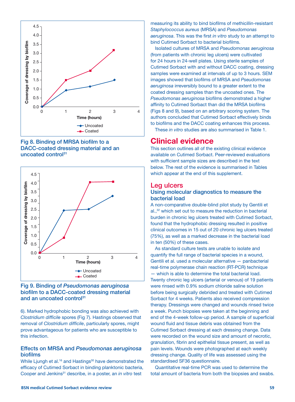





#### Fig 9. Binding of *Pseudomonas aeruginosa*  biofilm to a DACC-coated dressing material and an uncoated control<sup>31</sup>

6). Marked hydrophobic bonding was also achieved with *Clostridium difficile* spores (Fig 7). Hastings observed that removal of *Clostridium difficile*, particularly spores, might prove advantageous for patients who are susceptible to this infection.

#### Effects on MRSA and *Pseudomonas aeruginosa* biofilms

While Ljungh et al.<sup>16</sup> and Hastings<sup>30</sup> have demonstrated the efficacy of Cutimed Sorbact in binding planktonic bacteria, Cooper and Jenkins<sup>31</sup> describe, in a poster, an *in vitro* test

measuring its ability to bind biofilms of methicillin-resistant *Staphylococcus aureus* (MRSA) and *Pseudomonas aeruginosa*. This was the first *in vitro* study to an attempt to bind Cutimed Sorbact to bacterial biofilms.

Isolated cultures of MRSA and *Pseudomonas aeruginosa* (from patients with chronic leg ulcers) were cultivated for 24 hours in 24-well plates. Using sterile samples of Cutimed Sorbact with and without DACC coating, dressing samples were examined at intervals of up to 3 hours. SEM images showed that biofilms of MRSA and *Pseudomonas aeruginosa* irreversibly bound to a greater extent to the coated dressing samples than the uncoated ones. The *Pseudomonas aeruginosa* biofilms demonstrated a higher affinity to Cutimed Sorbact than did the MRSA biofilms (Figs 8 and 9), based on an arbitrary scoring system. The authors concluded that Cutimed Sorbact effectively binds to biofilms and the DACC coating enhances this process.

These *in vitro* studies are also summarised in Table 1.

## Clinical evidence

This section outlines all of the existing clinical evidence available on Cutimed Sorbact. Peer-reviewed evaluations with sufficient sample sizes are described in the text below. The rest of the evidence is summarised in Tables which appear at the end of this supplement.

#### Leg ulcers

#### Using molecular diagnostics to measure the bacterial load

A non-comparative double-blind pilot study by Gentili et al.,32 which set out to measure the reduction in bacterial burden in chronic leg ulcers treated with Cutimed Sorbact, found that the hydrophobic dressing resulted in positive clinical outcomes in 15 out of 20 chronic leg ulcers treated (75%), as well as a marked decrease in the bacterial load in ten (50%) of these cases.

As standard culture tests are unable to isolate and quantify the full range of bacterial species in a wound, Gentili et al. used a molecular alternative — panbacterial real-time polymerase chain reaction (RT-PCR) technique — which is able to determine the total bacterial load. Twenty chronic leg ulcers (arterial or venous) of 19 patients were rinsed with 0.9% sodium chloride saline solution before being surgically debrided and treated with Cutimed Sorbact for 4 weeks. Patients also received compression therapy. Dressings were changed and wounds rinsed twice a week. Punch biopsies were taken at the beginning and end of the 4-week follow-up period. A sample of superficial wound fluid and tissue debris was obtained from the Cutimed Sorbact dressing at each dressing change. Data were recorded on the wound size and amount of necrotic, granulation, fibrin and epithelial tissue present, as well as pain levels. Wounds were photographed at each weekly dressing change. Quality of life was assessed using the standardised SF36 questionnaire.

Quantitative real-time PCR was used to determine the total amount of bacteria from both the biopsies and swabs.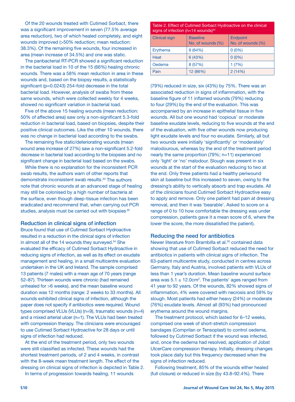Of the 20 wounds treated with Cutimed Sorbact, there was a significant improvement in seven (77.5% average area reduction), two of which healed completely, and eight wounds improved (>50% reduction; mean reduction: 38.3%). Of the remaining five wounds, four increased in area (mean increase of 34.5%) and one was static.

The panbacterial RT-PCR showed a significant reduction in the bacterial load in 10 of the 15 (66%) healing chronic wounds. There was a 58% mean reduction in area in these wounds and, based on the biopsy results, a statistically significant (p=0.0243) 254-fold decrease in the total bacterial load. However, analysis of swabs from these same wounds, which were collected weekly for 4 weeks, showed no significant variation in bacterial load.

Five of the above 15 healing wounds (mean reduction: 50% of affected area) saw only a non-significant 5.3-fold reduction in bacterial load, based on biopsies, despite their positive clinical outcomes. Like the other 10 wounds, there was no change in bacterial load according to the swabs.

The remaining five static/deteriorating wounds (mean wound area increase of 27%) saw a non-significant 5.2-fold decrease in bacterial load according to the biopsies and no significant change in bacterial load based on the swabs.

While there is no explanation for the inconsistent PCR swab results, the authors warn of other reports that demonstrate inconsistent swab results.<sup>33</sup> The authors note that chronic wounds at an advanced stage of healing may still be colonised by a high number of bacteria at the surface, even though deep-tissue infection has been eradicated and recommend that, when carrying out PCR studies, analysis must be carried out with biopsies.<sup>32</sup>

#### Reduction in clinical signs of infection

Bruce found that use of Cutimed Sorbact Hydroactive resulted in a reduction in the clinical signs of infection in almost all of the 14 wounds they surveyed.34 She evaluated the efficacy of Cutimed Sorbact Hydroactive in reducing signs of infection, as well as its effect on exudate management and healing, in a small multicentre evaluation undertaken in the UK and Ireland. The sample comprised 13 patients (7 males) with a mean age of 70 years (range 52–87). Thirteen wounds were chronic (had remained unhealed for >6 weeks), and the mean baseline wound duration was 12 months (range: 2 weeks to 33 months). All wounds exhibited clinical signs of infection, although the paper does not specify if antibiotics were required. Wound types comprised VLUs (VLUs) (n=9), traumatic wounds (n=4) and a mixed arterial ulcer (n=1). The VLUs had been treated with compression therapy. The clinicians were encouraged to use Cutimed Sorbact Hydroactive for 28 days or until signs of infection had reduced.

At the end of the treatment period, only two wounds were still classified as infected. These wounds had the shortest treatment periods, of 2 and 4 weeks, in contrast with the 8-week mean treatment length. The effect of the dressing on clinical signs of infection is depicted in Table 2.

In terms of progression towards healing, 11 wounds

Table 2. Effect of Cutimed Sorbact Hydroactive on the clinical signs of infection ( $n=14$  wounds) $34$ 

| <b>Clinical sign</b> | <b>Baseline</b><br>No. of wounds (%) | Endpoint<br>No. of wounds (%) |
|----------------------|--------------------------------------|-------------------------------|
| Erythema             | 9(64%)                               | $0(0\%)$                      |
| Heat                 | 6(43%)                               | $0(0\%)$                      |
| Oedema               | 8 (57%)                              | 1(7%)                         |
| Pain                 | 12 (86%)                             | 2(14%)                        |

(79%) reduced in size, six (43%) by 75%. There was an associated reduction in signs of inflammation, with the baseline figure of 11 inflamed wounds (79%) reducing to four (29%) by the end of the evaluation. This was accompanied by an increase in epithelial tissue in five wounds. All but one wound had 'copious' or moderate baseline exudate levels, reducing to five wounds at the end of the evaluation, with five other wounds now producing light exudate levels and four no exudate. Similarly, all but two wounds were initially 'significantly' or 'moderately' malodourous, whereas by the end of the treatment period nearly the same proportion (79%; n=11) experienced only 'light' or 'no' malodour. Slough was present in six wounds at the start of the evaluation reducing to two at the end. Only three patients had a healthy periwound skin at baseline but this increased to seven, owing to the dressing's ability to vertically absorb and trap exudate. All of the clinicians found Cutimed Sorbact Hydroactive easy to apply and remove. Only one patient had pain at dressing removal, and then it was 'bearable'. Asked to score on a range of 0 to 10 how comfortable the dressing was under compression, patients gave it a mean score of 6, where the lower the score, the more dissatisfied the patient).

#### Reducing the need for antibiotics

Newer literature from Brambilla et al.<sup>35</sup> contained data showing that use of Cutimed Sorbact reduced the need for antibiotics in patients with clinical signs of infection. The 63-patient multicentre study, conducted in centres across Germany, Italy and Austria, involved patients with VLUs of less than 1 year's duration. Mean baseline wound surface area was  $5.1 \pm 12.0 \text{cm}^2$ . The patients' ages ranged from 41 year to 92 years. Of the wounds, 82% showed signs of inflammation, 4% were covered with necrosis and 59% by slough. Most patients had either heavy (24%) or moderate (76%) exudate levels. Almost all (93%) had pronounced erythema around the wound margins.

The treatment protocol, which lasted for 6–12 weeks, comprised one week of short-stretch compression bandages (Comprilan or Tensoplast) to control oedema, followed by Cutimed Sorbact if the wound was infected, and, once the oedema had resolved, application of Jobst UlcerCare compression therapy. Initially, dressing changes took place daily but this frequency decreased when the signs of infection reduced.

Following treatment, 85% of the wounds either healed (full closure) or reduced in size (by 43.8–92.4%). There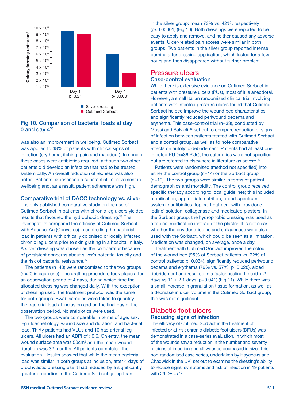

Fig 10. Comparison of bacterial loads at day 0 and day  $4^{36}$ 

was also an improvement in wellbeing. Cutimed Sorbact was applied to 48% of patients with clinical signs of infection (erythema, itching, pain and malodour). In none of these cases were antibiotics required, although two other patients did develop an infection that had to be treated systemically. An overall reduction of redness was also noted. Patients experienced a substantial improvement in wellbeing and, as a result, patient adherence was high.

Comparative trial of DACC technology vs. silver

The only published comparative study on the use of Cutimed Sorbact in patients with chronic leg ulcers yielded results that favoured the hydrophobic dressing.<sup>36</sup> The investigators compared the efficacy of Cutimed Sorbact with Aquacel Ag (ConvaTec) in controlling the bacterial load in patients with critically colonised or locally infected chronic leg ulcers prior to skin grafting in a hospital in Italy. A silver dressing was chosen as the comparator because of persistent concerns about silver's potential toxicity and the risk of bacterial resistance.<sup>37</sup>

The patients (n=40) were randomised to the two groups (n=20 in each one). The grafting procedure took place after an observation period of 4 days, during which time the allocated dressing was changed daily. With the exception of dressing used, the treatment protocol was the same for both groups. Swab samples were taken to quantify the bacterial load at inclusion and on the final day of the observation period. No antibiotics were used.

The two groups were comparable in terms of age, sex, leg ulcer aetiology, wound size and duration, and bacterial load. Thirty patients had VLUs and 10 had arterial leg ulcers. All ulcers had an ABPI of >0.6. On entry, the mean wound surface area was 50cm<sup>2</sup> and the mean wound duration was 32 months. All patients completed the evaluation. Results showed that while the mean bacterial load was similar in both groups at inclusion, after 4 days of prophylactic dressing use it had reduced by a significantly greater proportion in the Cutimed Sorbact group than

in the silver group: mean 73% vs. 42%, respectively (p<0.00001) (Fig 10). Both dressings were reported to be easy to apply and remove, and neither caused any adverse events. Ulcer-related pain scores were similar in both groups. Two patients in the silver group reported intense burning after dressing application, which lasted for a few hours and then disappeared without further problem.

#### Pressure ulcers Case-control evaluation

While there is extensive evidence on Cutimed Sorbact in patients with pressure ulcers (PUs), most of it is anecdotal. However, a small Italian randomised clinical trial involving patients with infected pressure ulcers found that Cutimed Sorbact helped improve the wound bed characteristics, and significantly reduced periwound oedema and erythema. This case-control trial (n=33), conducted by Mussi and Salvioli,<sup>38</sup> set out to compare reduction of signs of infection between patients treated with Cutimed Sorbact and a control group, as well as to note comparative effects on autolytic debridement. Patients had at least one infected PU (n=36 PUs); the categories were not specified but are referred to elsewhere in literature as severe.<sup>39</sup>

Patients were randomised (method not specified) into either the control group (n=14) or the Sorbact group (n=19). The two groups were similar in terms of patient demographics and morbidity. The control group received specific therapy according to local guidelines; this included mobilisation, appropriate nutrition, broad-spectrum systemic antibiotics, topical treatment with 'povidoneiodine' solution, collagenase and medicated plasters. In the Sorbact group, the hydrophobic dressing was used as a topical medication instead of the plaster. It is not clear whether the povidone-iodine and collagenase were also used with the Sorbact, which could be seen as a limitation. Medication was changed, on average, once a day.

Treatment with Cutimed Sorbact improved the colour of the wound bed (95% of Sorbact patients vs. 72% of control patients; p=0.034), significantly reduced periwound oedema and erythema (79% vs. 57%; p=0.028), aided debridement and resulted in a faster healing time  $(9 \pm 2)$ days vs  $11 \pm 2.1$  days; p=0.041) (Fig 11). While there was a small increase in granulation tissue formation, as well as a decrease in ulcer volume in the Cutimed Sorbact group, this was not significant.

#### Diabetic foot ulcers Reducing signs of infection

The efficacy of Cutimed Sorbact in the treatment of infected or at-risk chronic diabetic foot ulcers (DFUs) was demonstrated in a case-series evaluation, in which most of the wounds saw a reduction in the number and severity of signs of infection and all wounds decreased in size. This non-randomised case series, undertaken by Haycocks and Chadwick in the UK, set out to examine the dressing's ability to reduce signs, symptoms and risk of infection in 19 patients with 29 DFUs.<sup>40</sup>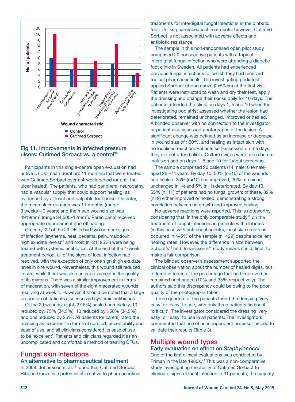



Participants in this single-centre open evaluation had active DFUs (mean duration: 11 months) that were treated with Cutimed Sorbact over a 4-week period (or until the ulcer healed). The patients, who had peripheral neuropathy, had a vascular supply that could support healing, as evidenced by at least one palpable foot pulse. On entry, the mean ulcer duration was 11 months (range: 3 weeks – 9 years) and the mean wound size was 4919mm<sup>3</sup> (range 34,500–12mm<sup>3</sup>). Participants received appropriate debridement and offloading.

On entry, 22 of the 29 DFUs had two or more signs of infection (erythema, heat, oedema, pain, malodour, high exudate levels) $41$  and most (n=21; 95%) were being treated with systemic antibiotics. At the end of the 4-week treatment period, all of the signs of local infection had resolved, with the exception of only one sign (high exudate level) in one wound. Nevertheless, this wound still reduced in size, while there was also an improvement in the quality of its margins. There was a similar improvement in terms of maceration, with seven of the eight macerated wounds resolving at week 4. However, it should be noted that a large proportion of patients also received systemic antibiotics.

Of the 29 wounds, eight (27.6%) healed completely, 10 reduced by>75% (34.5%), 10 reduced by >50% (34.5%) and one reduced by 25%. All patients (or carers) rated the dressing as 'excellent' in terms of comfort, acceptability and ease of use, and all clinicians considered its ease of use to be 'excellent'. Patients and clinicians regarded it as an uncomplicated and comfortable method of treating DFUs.

## Fungal skin infections

#### An alternative to pharmaceutical treatment

In 2009, Johansson et al.<sup>24</sup> found that Cutimed Sorbact Ribbon Gauze is a potential alternative to pharmaceutical treatments for interdigital fungal infections in the diabetic foot. Unlike pharmaceutical treatments, however, Cutimed Sorbact is not associated with adverse effects and antibiotic resistance.

The sample in this non-randomised open pilot study comprised 20 consecutive patients with a topical interdigital fungal infection who were attending a diabetic foot clinic in Sweden. All patients had experienced previous fungal infections for which they had received topical pharmaceuticals. The investigating podiatrist applied Sorbact ribbon gauze (2x50cm) at the first visit. Patients were instructed to wash and dry their feet, apply the dressing and change their socks daily for 10 days. The patients attended the clinic on days 1, 5 and 10 when the investigating podiatrist assessed whether the lesion had deteriorated, remained unchanged, improved or healed. A blinded observer with no connection to the investigator or patient also assessed photographs of the lesion. A significant change was defined as an increase or decrease in wound size of >50%, and healing as intact skin with no localised reaction. Patients self-assessed on the days they did not attend clinic. Culture swabs were taken before inclusion and on days 1, 5 and 10 for fungal screening.

The sample comprised 20 patients (14 male; 6 female) aged 26 –74 years. By day 10, 50% (n=10) of the wounds had healed, 25% (n=10) had improved, 20% remained unchanged (n=4) and 5% (n=1) deteriorated. By day 10, 55% (n=11) of patients had no fungal growth; of these, 82% (n=9) either improved or healed, demonstrating a strong correlation between no growth and improved healing.

No adverse reactions were reported. This is noteworthy considering that, in the only comparable study42 on the treatment of fungal infections in patients with diabetes (in this case with antifungal agents), local skin reactions occurred in 4–5% of the sample (n=429) despite excellent healing rates. However, the difference in size between Schopf's<sup>42</sup> and Johansson's<sup>24</sup> study means it is difficult to make a fair comparison.

The blinded observer's assessment supported the clinical observation about the number of healed digits, but differed in terms of the percentage that had improved or remained unchanged (10% and 35% respectively). The authors said this discrepancy could be owing to the poor quality of the photographs taken.

Three quarters of the patients found the dressing 'very easy' or 'easy' to use, with only three patients finding it 'difficult'. The investigator considered the dressing 'very easy' or 'easy' to use in all patients. The investigators commented that use of an independent assessor helped to validate their results (Table 3).

#### Multiple wound types

#### Early evaluation on effect on *Staphylococci* One of the first clinical evaluations was conducted by Friman in the late 1980s.<sup>43</sup> This was a non-comparative study investigating the ability of Cutimed Sorbact to eliminate signs of local infection in 31 patients, the majority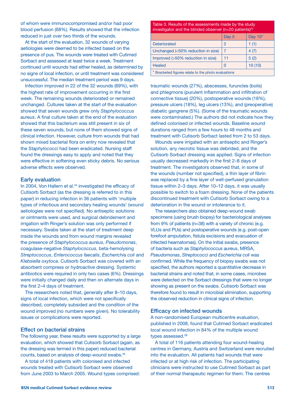of whom were immunocompromised and/or had poor blood perfusion (68%). Results showed that the infection reduced in just over two thirds of the wounds.

At the start of the evaluation, 32 wounds of varying aetiologies were deemed to be infected based on the presence of pus. The wounds were treated with Cutimed Sorbact and assessed at least twice a week. Treatment continued until wounds had either healed, as determined by no signs of local infection, or until treatment was considered unsuccessful. The median treatment period was 9 days.

Infection improved in 22 of the 32 wounds (69%), with the highest rate of improvement occurring in the first week. The remaining wounds deteriorated or remained unchanged. Cultures taken at the start of the evaluation showed that seven wounds grew only *Staphylococcus aureus*. A final culture taken at the end of the evaluation showed that this bacterium was still present in six of these seven wounds, but none of them showed signs of clinical infection. However, culture from wounds that had shown mixed bacterial flora on entry now revealed that the *Staphylococci* had been eradicated. Nursing staff found the dressings easy to apply and noted that they were effective in softening even sticky debris. No serious adverse effects were observed.

#### Early evaluation

In 2004, Von Hallern et al.<sup>44</sup> investigated the efficacy of Cutisorb Sorbact (as the dressing is referred to in this paper) in reducing infection in 36 patients with 'multiple types of infectious and secondary healing wounds' (wound aetiologies were not specified). No antiseptic solutions or ointments were used, and surgical debridement and irrigation with Ringer's solution was only performed if necessary. Swabs taken at the start of treatment deep inside the wounds and from wound margins revealed the presence of *Staphylococcus aureus*, *Pseudomonas*, coagulase-negative *Staphylococcus*, beta-hemolysing *Streptococcus*, *Enterococcus faecalis*, *Escherichia coli* and *Klebsiella oxytoca*. Cutisorb Sorbact was covered with an absorbent compress or hydroactive dressing. Systemic antibiotics were required in only two cases (6%). Dressings were initially changed daily and then on alternate days in the first 2–4 days of treatment.

The researchers noted that, generally after 8–10 days, signs of local infection, which were not specifically described, completely subsided and the condition of the wound improved (no numbers were given). No tolerability issues or complications were reported.

#### Effect on bacterial strains

The following year, these results were supported by a large evaluation, which showed that Cutisorb Sorbact (again, as the dressing was termed in this paper) reduced bacterial counts, based on analysis of deep-wound swabs.45

A total of 418 patients with colonised and infected wounds treated with Cutisorb Sorbact were observed from June 2003 to March 2005. Wound types comprised:

| Table 3. Results of the assessments made by the study<br>investigator and the blinded observer $(n=20 \text{ patients})^{24}$ |               |         |  |  |  |
|-------------------------------------------------------------------------------------------------------------------------------|---------------|---------|--|--|--|
|                                                                                                                               | Day 5         | Day 10* |  |  |  |
| <b>Deteriorated</b>                                                                                                           | $\mathcal{P}$ | 1(1)    |  |  |  |
| Unchanged (<50% reduction in size)                                                                                            |               | 4(7)    |  |  |  |
| Improved (>50% reduction in size)<br>11<br>5(2)                                                                               |               |         |  |  |  |
| <b>Healed</b><br>10(10)<br>0                                                                                                  |               |         |  |  |  |
| Bracketed figures relate to the photo evaluations                                                                             |               |         |  |  |  |

traumatic wounds (27%), abscesses, furuncles (boils) and phlegmons (purulent inflammation and infiltration of connective tissue) (20%), postoperative wounds (18%), pressure ulcers (18%), leg ulcers (13%), and (preoperative) diabetic gangrene (5%). (Some of the traumatic wounds were contaminated.) The authors did not indicate how they defined colonised or infected wounds. Baseline wound durations ranged from a few hours to 48 months and treatment with Cutisorb Sorbact lasted from 2 to 53 days.

Wounds were irrigated with an antiseptic and Ringer's solution, any necrotic tissue was debrided, and the Cutisorb Sorbact dressing was applied. Signs of infection usually decreased markedly in the first 2–8 days of treatment. The investigators observed that, in some of the wounds (number not specified), a thin layer of fibrin was replaced by a fine layer of well-perfused granulation tissue within 2–3 days. After 10–12 days, it was usually possible to switch to a foam dressing. None of the patients discontinued treatment with Cutisorb Sorbact owing to a deterioration in the wound or intolerance to it.

The researchers also obtained deep-wound swab specimens (using brush biopsy) for bacteriological analyses from 9% of patients (n=38) with a variety of chronic (e.g. VLUs and PUs) and postoperative wounds (e.g. post-open forefoot amputation, fistula excisions and evacuation of infected heamatomas). On the initial swabs, presence of bacteria such as *Staphylococcus aureus*, MRSA, *Pseudomonas*, *Streptococci* and *Escherichia coli* was confirmed. While the frequency of biopsy swabs was not specified, the authors reported a quantitative decrease in bacterial strains and noted that, in some cases, microbes were detected on the Sorbact dressings that were no longer showing as present on the swabs. Cutisorb Sorbact was therefore found to result in microbial elimination, supporting the observed reduction in clinical signs of infection.

#### Efficacy on infected wounds

A non-randomised European multicentre evaluation, published in 2008, found that Cutimed Sorbact eradicated local wound infection in 84% of the multiple wound types assessed.<sup>28</sup>

A total of 116 patients attending four wound-healing centres in Germany, Austria and Switzerland were recruited into the evaluation. All patients had wounds that were infected or at high risk of infection. The participating clinicians were instructed to use Cutimed Sorbact as part of their normal therapeutic regimen for them. The centres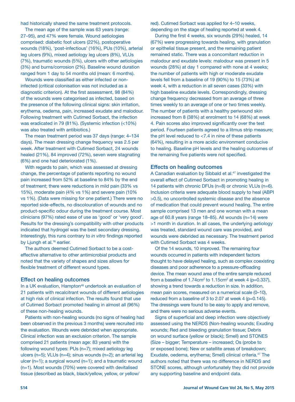had historically shared the same treatment protocols.

The mean age of the sample was 63 years (range: 27–95), and 47% were female. Wound aetiologies comprised: diabetic foot ulcers (22%), postoperative wounds (18%), 'post-infectious' (16%), PUs (10%), arterial leg ulcers (9%), mixed aetiology leg ulcers (8%), VLUs (7%), traumatic wounds (5%), ulcers with other aetiologies (3%) and burns/corrosion (2%). Baseline wound duration ranged from 1 day to 54 months old (mean: 6 months).

Wounds were classified as either infected or noninfected (critical colonisation was not included as a diagnostic criterion). At the first assessment, 98 (84%) of the wounds were categorised as infected, based on the presence of the following clinical signs: skin irritation, erythema, oedema, pain, increased exudate and malodour. Following treatment with Cutimed Sorbact, the infection was eradicated in 79 (81%). (Systemic infection (<10%) was also treated with antibiotics.)

The mean treatment period was 37 days (range: 4–134 days). The mean dressing change frequency was 2.5 per week. After treatment with Cutimed Sorbact, 24 wounds healed (21%), 84 improved (72%), seven were stagnating (6%) and one had deteriorated (1%).

With regards to pain, which was assessed at dressing change, the percentage of patients reporting no wound pain increased from 52% at baseline to 84% by the end of treatment; there were reductions in mild pain (33% vs 15%), moderate pain (4% vs 1%) and severe pain (10% vs 1%). (Data were missing for one patient.) There were no reported side-effects, no discolouration of wounds and no product-specific odour during the treatment course. Most clinicians (97%) rated ease of use as 'good' or 'very good'. Results for the dressing's compatibility with other products indicated that hydrogel was the best secondary dressing. Interestingly, this runs contrary to *in vitro* findings reported by Ljungh et al.<sup>16</sup> earlier.

The authors deemed Cutimed Sorbact to be a costeffective alternative to other antimicrobial products and noted that the variety of shapes and sizes allows for flexible treatment of different wound types.

#### Effect on healing outcomes

In a UK evaluation, Hampton<sup>46</sup> undertook an evaluation of 21 patients with recalcitrant wounds of different aetiologies at high risk of clinical infection. The results found that use of Cutimed Sorbact promoted healing in almost all (96%) of these non-healing wounds.

Patients with non-healing wounds (no signs of healing had been observed in the previous 3 months) were recruited into the evaluation. Wounds were debrided when appropriate. Clinical infection was an exclusion criterion. The sample comprised 21 patients (mean age: 83 years) with the following wound types: PUs (n=7); mixed aetiology leg ulcers (n=5); VLUs (n=4); sinus wounds (n=2); an arterial leg ulcer  $(n=1)$ ; a surgical wound  $(n=1)$ ; and a traumatic wound (n=1). Most wounds (70%) were covered with devitalised tissue (described as black, black/yellow, yellow, or yellow/

red). Cutimed Sorbact was applied for 4–10 weeks, depending on the stage of healing reported at week 4.

During the first 4 weeks, six wounds (29%) healed, 14 (67%) were progressing towards healing, with granulation or epithelial tissue present, and the remaining patient remained static. There was a concomitant reduction in malodour and exudate levels: malodour was present in 5 wounds (28%) at day 1 compared with none at 4 weeks; the number of patients with high or moderate exudate levels fell from a baseline of 19 (90%) to 15 (73%) at week 4, with a reduction in all seven cases (33%) with high baseline exudate levels. Correspondingly, dressing change frequency decreased from an average of three times weekly to an average of one or two times weekly. The number of patients with a healthy periwound skin increased from 8 (38%) at enrolment to 14 (68%) at week 4. Pain scores also improved significantly over the test period. Fourteen patients agreed to a litmus strip measure; the pH level reduced to <7.4 in nine of these patients (64%), resulting in a more acidic environment conducive to healing. Baseline pH levels and the healing outcomes of the remaining five patients were not specified.

#### Effects on healing outcomes

A Canadian evaluation by Sibbald et al.47 investigated the overall effect of Cutimed Sorbact in promoting healing in 14 patients with chronic DFUs (n=8) or chronic VLUs (n=6). Inclusion criteria were adequate blood supply to heal (ABPI >0.5), no uncontrolled systemic disease and the absence of medication that could prevent wound healing. The entire sample comprised 13 men and one woman with a mean age of 60.8 years (range 18–85). All wounds (n=14) were >1 month in duration. In all cases, the underlying aetiology was treated, standard wound care was provided, and wounds were debrided as necessary. The treatment period with Cutimed Sorbact was 4 weeks.

Of the 14 wounds, 10 improved. The remaining four wounds occurred in patients with independent factors thought to have delayed healing, such as complex coexisting diseases and poor adherence to a pressure-offloading device. The mean wound area of the entire sample reduced from a baseline of  $1.74 \text{cm}^2$  to  $1.15 \text{cm}^2$  at week 4 (p=0.337), showing a trend towards a reduction in size. In addition, mean pain scores, measured on a numerical scale (0–10), reduced from a baseline of 3 to 2.07 at week 4 (p=0.145). The dressings were found to be easy to apply and remove, and there were no serious adverse events.

Signs of superficial and deep infection were objectively assessed using the NERDS (Non-healing wounds; Exuding wounds; Red and bleeding granulation tissue; Debris on wound surface (yellow or black); Smell) and STONES (Size – bigger; Temperature – increased; Os (probe to or exposed bone); New or satellite areas of breakdown; Exudate, oedema, erythema; Smell) clinical criteria.47 The authors noted that there was no difference in NERDS and STONE scores, although unfortunately they did not provide any supporting baseline and endpoint data.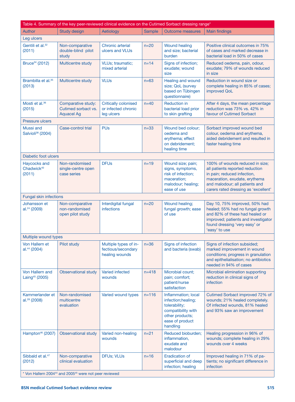| Table 4. Summary of the key peer-reviewed clinical evidence on the Cutimed Sorbact dressing range* |                                                                |                                                                  |               |                                                                                                                                     |                                                                                                                                                                                                              |
|----------------------------------------------------------------------------------------------------|----------------------------------------------------------------|------------------------------------------------------------------|---------------|-------------------------------------------------------------------------------------------------------------------------------------|--------------------------------------------------------------------------------------------------------------------------------------------------------------------------------------------------------------|
| Author                                                                                             | <b>Study design</b>                                            | Aetiology                                                        | <b>Sample</b> | <b>Outcome measures</b>                                                                                                             | <b>Main findings</b>                                                                                                                                                                                         |
| Leg ulcers                                                                                         |                                                                |                                                                  |               |                                                                                                                                     |                                                                                                                                                                                                              |
| Gentili et al. <sup>32</sup><br>(2011)                                                             | Non-comparative<br>double-blind pilot<br>study                 | Chronic arterial<br>ulcers and VLUs                              | $n=20$        | <b>Wound healing</b><br>and size; bacterial<br>burden                                                                               | Positive clinical outcomes in 75%<br>of cases and marked decrease in<br>bacterial load in 50% of cases                                                                                                       |
| Bruce <sup>34</sup> (2012)                                                                         | Multicentre study                                              | VLUs; traumatic;<br>mixed arterial                               | $n = 14$      | Signs of infection;<br>exudate; wound<br>size                                                                                       | Reduced oedema, pain, odour,<br>exudate; 79% of wounds reduced<br>in size                                                                                                                                    |
| Brambilla et al. <sup>35</sup><br>(2013)                                                           | Multicentre study                                              | <b>VLUs</b>                                                      | $n=63$        | Healing and wound<br>size; QoL (survey<br>based on Tübingen<br>questionnaire)                                                       | Reduction in wound size or<br>complete healing in 85% of cases;<br>improved QoL                                                                                                                              |
| Mosti et al. <sup>36</sup><br>(2015)                                                               | Comparative study:<br>Cutimed sorbact vs.<br><b>Aquacel Ag</b> | <b>Critically colonised</b><br>or infected chronic<br>leg ulcers | $n = 40$      | <b>Reduction in</b><br>bacterial load prior<br>to skin grafting                                                                     | After 4 days, the mean percentage<br>reduction was 73% vs. 42% in<br>favour of Cutimed Sorbact                                                                                                               |
| <b>Pressure ulcers</b>                                                                             |                                                                |                                                                  |               |                                                                                                                                     |                                                                                                                                                                                                              |
| Mussi and<br>Salvioli <sup>38</sup> (2004)                                                         | Case-control trial                                             | <b>PUs</b>                                                       | $n=33$        | Wound bed colour;<br>oedema and<br>erythema; effect<br>on debridement;<br>healing time                                              | Sorbact improved wound bed<br>colour, oedema and erythema,<br>aided debridement and resulted in<br>faster healing time                                                                                       |
| Diabetic foot ulcers                                                                               |                                                                |                                                                  |               |                                                                                                                                     |                                                                                                                                                                                                              |
| Haycocks and<br>Chadwick <sup>40</sup><br>(2011)                                                   | Non-randomised<br>single-centre open<br>case series            | <b>DFUs</b>                                                      | $n=19$        | Wound size; pain;<br>signs, symptoms,<br>risk of infection:<br>maceration;<br>malodour; healing;<br>ease of use                     | 100% of wounds reduced in size;<br>all patients reported reduction<br>in pain; reduced infection,<br>maceration, exudate, erythema<br>and malodour; all patients and<br>carers rated dressing as 'excellent' |
| <b>Fungal skin infections</b>                                                                      |                                                                |                                                                  |               |                                                                                                                                     |                                                                                                                                                                                                              |
| Johansson et<br>al. <sup>24</sup> (2009)                                                           | Non-comparative<br>non-randomised<br>open pilot study          | Interdigital fungal<br><b>infections</b>                         | $n=20$        | Wound healing;<br>fungal growth; ease<br>of use                                                                                     | Day 10, 75% improved, 50% had<br>healed; 55% had no fungal growth<br>and 82% of these had healed or<br>improved; patients and investigator<br>found dressing 'very easy' or<br>'easy' to use                 |
| Multiple wound types                                                                               |                                                                |                                                                  |               |                                                                                                                                     |                                                                                                                                                                                                              |
| Von Hallern et<br>al. <sup>44</sup> (2004)                                                         | Pilot study                                                    | Multiple types of in-<br>fectious/secondary<br>healing wounds    | $n=36$        | Signs of infection<br>and bacteria (swab)                                                                                           | Signs of infection subsided;<br>marked improvement in wound<br>conditions; progress in granulation<br>and epithelialisation; no antibiotics<br>needed in 94% of cases                                        |
| Von Hallern and<br>Laing <sup>45</sup> (2005)                                                      | <b>Observational study</b>                                     | Varied infected<br>wounds                                        | $n = 418$     | Microbial count;<br>pain; comfort;<br>patient/nurse<br>satisfaction                                                                 | Microbial elimination supporting<br>reduction in clinical signs of<br>infection                                                                                                                              |
| Kammerlander et<br>al. $28(2008)$                                                                  | Non-randomised<br>multicentre<br>evaluation                    | Varied wound types                                               | $n = 116$     | Inflammation; local<br>infection; healing;<br>tolerability;<br>compatibility with<br>other products;<br>ease of product<br>handling | Cutimed Sorbact improved 72% of<br>wounds; 21% healed completely.<br>Of infected wounds, 81% healed<br>and 93% saw an improvement                                                                            |
| Hampton <sup>46</sup> (2007)                                                                       | Observational study                                            | Varied non-healing<br>wounds                                     | $n = 21$      | Reduced bioburden;<br>inflammation,<br>exudate and<br>malodour                                                                      | Healing progression in 96% of<br>wounds; complete healing in 29%<br>wounds over 4 weeks                                                                                                                      |
| Sibbald et al. <sup>47</sup><br>(2012)                                                             | Non-comparative<br>clinical evaluation                         | DFUs; VLUs                                                       | $n = 16$      | <b>Eradication of</b><br>superficial and deep<br>infection; healing                                                                 | Improved healing in 71% of pa-<br>tients; no significant difference in<br>infection                                                                                                                          |
| * Von Hallern 2004 <sup>44</sup> and 2005 <sup>45</sup> were not peer reviewed                     |                                                                |                                                                  |               |                                                                                                                                     |                                                                                                                                                                                                              |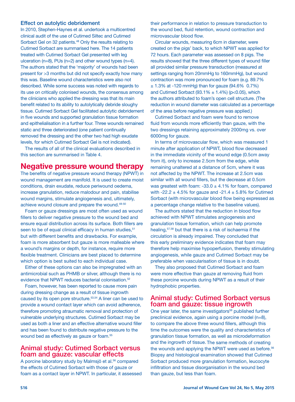#### Effect on autolytic debridement

In 2010, Stephen-Haynes et al. undertook a multicentred clinical audit of the use of Cutimed Siltec and Cutimed Sorbact Gel on 32 patients.<sup>48</sup> Only the results relating to Cutimed Sorbact are summarised here. The 14 patients treated with Cutimed Sorbact Gel presented with leg ulceration (n=8), PUs (n=2) and other wound types (n=4). The authors stated that the 'majority' of wounds had been present for >3 months but did not specify exactly how many this was. Baseline wound characteristics were also not described. While some success was noted with regards to its use on critically colonised wounds, the consensus among the clinicians who applied the dressing was that its main benefit related to its ability to autolytically debride sloughy tissue. Cutimed Sorbact Gel facilitated autolytic debridement in five wounds and supported granulation tissue formation and epithelialisation in a further four. Three wounds remained static and three deteriorated (one patient continually removed the dressing and the other two had high exudate levels, for which Cutimed Sorbact Gel is not indicated).

The results of all of the clinical evaluations described in this section are summarised in Table 4.

## Negative pressure wound therapy

The benefits of negative pressure wound therapy (NPWT) in wound management are manifold. It is used to create moist conditions, drain exudate, reduce periwound oedema, increase granulation, reduce malodour and pain, stabilise wound margins, stimulate angiogenesis and, ultimately, achieve wound closure and prepare the wound.<sup>48-50</sup>

Foam or gauze dressings are most often used as wound fillers to deliver negative pressure to the wound bed and ensure equal distribution across its surface. Both fillers are seen to be of equal clinical efficacy in human studies, 51 but with different benefits and drawbacks. For example, foam is more absorbent but gauze is more malleable where a wound's margins or depth, for instance, require more flexible treatment. Clinicians are best placed to determine which option is best suited to each individual case.

Either of these options can also be impregnated with an antimicrobial such as PHMB or silver, although there is no evidence that NPWT reduces bacterial colonisation.<sup>52</sup>

Foam, however, has been reported to cause more pain during dressing change as a result of tissue ingrowth caused by its open pore structure.<sup>53,54</sup> A liner can be used to provide a wound contact layer which can avoid adherence, therefore promoting atraumatic removal and protection of vulnerable underlying structures. Cutimed Sorbact may be used as both a liner and an effective alternative wound filler and has been found to distribute negative pressure to the wound bed as effectively as gauze or foam. 55

#### Animal study: Cutimed Sorbact versus foam and gauze: vascular effects

A porcine laboratory study by Malmsjö et al.<sup>56</sup> compared the effects of Cutimed Sorbact with those of gauze or foam as a contact layer in NPWT. In particular, it assessed their performance in relation to pressure transduction to the wound bed, fluid retention, wound contraction and microvascular blood flow.

Circular wounds, measuring 6cm in diameter, were created on the pigs' back, to which NPWT was applied for 72 hours. Each parameter was assessed on 8 pigs. The results showed that the three different types of wound filler all provided similar pressure transduction (measured at settings ranging from 20mmHg to 160mmHg), but wound contraction was more pronounced for foam (e.g. 89.7%  $\pm$  1.3% at -120 mmHg) than for gauze (94.6% 0.7%) and Cutimed Sorbact (93.1%  $\pm$  1.4%) (p<0.05), which the authors attributed to foam's open cell structure. (The reduction in wound diameter was calculated as a percentage of the area before negative pressure was applied.)

Cutimed Sorbact and foam were found to remove fluid from wounds more efficiently than gauze, with the two dressings retaining approximately 2000mg vs. over 6000mg for gauze.

In terms of microvascular flow, which was measured 1 minute after application of NPWT, blood flow decreased in the immediate vicinity of the wound edge (0.5cm away from it), only to increase 2.5cm from the edge, while remaining unaltered at a distance of 5cm, where it was not affected by the NPWT. The increase at 2.5cm was similar with all wound fillers, but the decrease at 0.5cm was greatest with foam:  $-33.0 \pm 4.1\%$  for foam, compared with -22.2  $\pm$  4.5% for gauze and -21.4  $\pm$  5.8% for Cutimed Sorbact (with microvascular blood flow being expressed as a percentage change relative to the baseline values).

The authors stated that the reduction in blood flow achieved with NPWT stimulates angiogenesis and granulation tissue formation, which can help promote healing,57,58 but that there is a risk of ischaemia if the circulation is already impaired. They concluded that this early preliminary evidence indicates that foam may therefore help maximise hypoperfusion, thereby stimulating angiogenesis, while gauze and Cutimed Sorbact may be preferable when vascularisation of tissue is in doubt.

They also proposed that Cutimed Sorbact and foam were more effective than gauze at removing fluid from these porcine wounds during NPWT as a result of their hydrophobic properties.

#### Animal study: Cutimed Sorbact versus foam and gauze: tissue ingrowth

One year later, the same investigators<sup>59</sup> published further preclinical evidence, again using a porcine model (n=8), to compare the above three wound fillers, although this time the outcomes were the quality and characteristics of granulation tissue formation, as well as microdeformation and the ingrowth of tissue. The same methods of creating the wounds and applying the NPWT were used as before.<sup>56</sup> Biopsy and histological examination showed that Cutimed Sorbact produced more granulation formation, leucocyte infiltration and tissue disorganisation in the wound bed than gauze, but less than foam.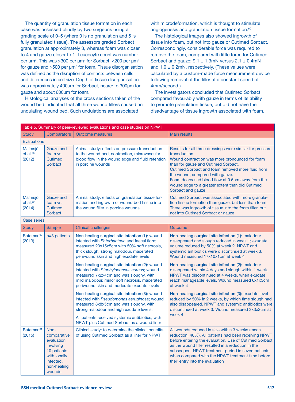The quantity of granulation tissue formation in each case was assessed blindly by two surgeons using a grading scale of 0–5 (where 0 is no granulation and 5 is fully granulated tissue). The assessors graded Sorbact granulation at approximately 3, whereas foam was closer to 4 and gauze closer to 1. Leucocyte count was number per μm<sup>2</sup>. This was >300 per μm<sup>2</sup> for Sorbact, <200 per μm<sup>2</sup> for gauze and  $>500$  per  $\mu$ m<sup>2</sup> for foam. Tissue disorganisation was defined as the disruption of contacts between cells and differences in cell size. Depth of tissue disorganisation was approximately 400μm for Sorbact, nearer to 300μm for gauze and about 600μm for foam.

Histological analyses of the cross sections taken of the wound bed indicated that all three wound fillers caused an undulating wound bed. Such undulations are associated

with microdeformation, which is thought to stimulate angiogenesis and granulation tissue formation.<sup>60</sup>

The histological images also showed ingrowth of tissue into foam, but not into gauze or Cutimed Sorbact. Correspondingly, considerable force was required to remove the foam, compared with little force for Cutimed Sorbact and gauze:  $9.1 \pm 1.3$ mN versus  $2.1 \pm 0.4$ mN and  $1.0 \pm 0.2$ mN, respectively. (These values were calculated by a custom-made force measurement device following removal of the filler at a constant speed of 4mm/second.)

The investigators concluded that Cutimed Sorbact compared favourably with gauze in terms of its ability to promote granulation tissue, but did not have the disadvantage of tissue ingrowth associated with foam.

| Table 5. Summary of peer-reviewed evaluations and case studies on NPWT |                                                                                                                     |                                                                                                                                                                                                                                                                                                                                                                                                                                                                                                                                                                                                                                                                                                                                                                              |                                                                                                                                                                                                                                                                                                                                                                                                                                                                                                                                                                                                                                                                                                                      |  |  |  |  |
|------------------------------------------------------------------------|---------------------------------------------------------------------------------------------------------------------|------------------------------------------------------------------------------------------------------------------------------------------------------------------------------------------------------------------------------------------------------------------------------------------------------------------------------------------------------------------------------------------------------------------------------------------------------------------------------------------------------------------------------------------------------------------------------------------------------------------------------------------------------------------------------------------------------------------------------------------------------------------------------|----------------------------------------------------------------------------------------------------------------------------------------------------------------------------------------------------------------------------------------------------------------------------------------------------------------------------------------------------------------------------------------------------------------------------------------------------------------------------------------------------------------------------------------------------------------------------------------------------------------------------------------------------------------------------------------------------------------------|--|--|--|--|
| <b>Study</b>                                                           | <b>Comparators</b>                                                                                                  | <b>Outcome measures</b>                                                                                                                                                                                                                                                                                                                                                                                                                                                                                                                                                                                                                                                                                                                                                      | <b>Main results</b>                                                                                                                                                                                                                                                                                                                                                                                                                                                                                                                                                                                                                                                                                                  |  |  |  |  |
|                                                                        | <b>Evaluations</b>                                                                                                  |                                                                                                                                                                                                                                                                                                                                                                                                                                                                                                                                                                                                                                                                                                                                                                              |                                                                                                                                                                                                                                                                                                                                                                                                                                                                                                                                                                                                                                                                                                                      |  |  |  |  |
| Malmsjö<br>$et$ al. $56$<br>(2012)                                     | <b>Gauze and</b><br>foam vs.<br><b>Cutimed</b><br>Sorbact                                                           | Animal study: effects on pressure transduction<br>to the wound bed, contraction, microvascular<br>blood flow in the wound edge and fluid retention<br>in porcine wounds                                                                                                                                                                                                                                                                                                                                                                                                                                                                                                                                                                                                      | Results for all three dressings were similar for pressure<br>transduction.<br>Wound contraction was more pronounced for foam<br>than for gauze and Cutimed Sorbact.<br>Cutimed Sorbact and foam removed more fluid from<br>the wound, compared with gauze.<br>Foam decreased blood flow at 0.5cm away from the<br>wound edge to a greater extent than did Cutimed<br>Sorbact and gauze                                                                                                                                                                                                                                                                                                                               |  |  |  |  |
| Malmsjö<br>$et$ al. $59$<br>(2014)                                     | Gauze and<br>foam vs.<br><b>Cutimed</b><br>Sorbact                                                                  | Animal study: effects on granulation tissue for-<br>mation and ingrowth of wound bed tissue into<br>the wound filler in porcine wounds                                                                                                                                                                                                                                                                                                                                                                                                                                                                                                                                                                                                                                       | Cutimed Sorbact was associated with more granula-<br>tion tissue formation than gauze, but less than foam.<br>There was ingrowth of tissue into the foam filler, but<br>not into Cutimed Sorbact or gauze                                                                                                                                                                                                                                                                                                                                                                                                                                                                                                            |  |  |  |  |
| <b>Case series</b>                                                     |                                                                                                                     |                                                                                                                                                                                                                                                                                                                                                                                                                                                                                                                                                                                                                                                                                                                                                                              |                                                                                                                                                                                                                                                                                                                                                                                                                                                                                                                                                                                                                                                                                                                      |  |  |  |  |
| <b>Study</b>                                                           | <b>Sample</b>                                                                                                       | <b>Clinical challenges</b>                                                                                                                                                                                                                                                                                                                                                                                                                                                                                                                                                                                                                                                                                                                                                   | <b>Outcome</b>                                                                                                                                                                                                                                                                                                                                                                                                                                                                                                                                                                                                                                                                                                       |  |  |  |  |
| Bateman <sup>62</sup><br>(2013)                                        | $n=3$ patients                                                                                                      | Non-healing surgical site infection (1): wound<br>infected with <i>Enterbacteria</i> and faecal flora;<br>measured 23x15x5cm with 50% soft necrosis,<br>thick slough, strong malodour, macerated<br>periwound skin and high exudate levels<br>Non-healing surgical site infection (2): wound<br>infected with Staphylococcus aureus; wound<br>measured 7x2x4cm and was sloughy, with<br>mild malodour, minor soft necrosis, macerated<br>periwound skin and moderate exudate levels<br>Non-healing surgical site infection (3): wound<br>infected with Pseudomonas aeruginosa; wound<br>measured 8x8x5cm and was sloughy, with<br>strong malodour and high exudate levels.<br>All patients received systemic antibiotics, with<br>NPWT plus Cutimed Sorbact as a wound liner | Non-healing surgical site infection (1): malodour<br>disappeared and slough reduced in week 1; exudate<br>volume reduced by 50% at week 2. NPWT and<br>systemic antibiotics were discontinued at week 3.<br>Wound measured 17x10x1cm at week 4<br>Non-healing surgical site infection (2): malodour<br>disappeared within 4 days and slough within 1 week.<br>NPWT was discontinued at 4 weeks, when exudate<br>reach manageable levels. Wound measured 6x1x3cm<br>at week 4<br>Non-healing surgical site infection (3): exudate level<br>reduced by 50% in 2 weeks, by which time slough had<br>also disappeared. NPWT and systemic antibiotics were<br>discontinued at week 3. Wound measured 3x3x2cm at<br>week 4 |  |  |  |  |
| Bateman <sup>61</sup><br>(2015)                                        | Non-<br>comparative<br>evaluation<br>involving<br>10 patients<br>with locally<br>infected,<br>non-healing<br>wounds | Clinical study: to determine the clinical benefits<br>of using Cutimed Sorbact as a liner for NPWT                                                                                                                                                                                                                                                                                                                                                                                                                                                                                                                                                                                                                                                                           | All wounds reduced in size within 3 weeks (mean<br>reduction: 40%). All patients had been receiving NPWT<br>before entering the evaluation. Use of Cutimed Sorbact<br>as the wound filler resulted in a reduction in the<br>subsequent NPWT treatment period in seven patients,<br>when compared with the NPWT treatment time before<br>their entry into the evaluation                                                                                                                                                                                                                                                                                                                                              |  |  |  |  |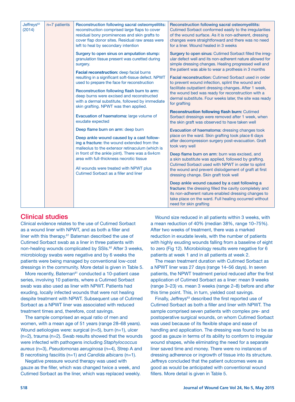| Jeffreys <sup>63</sup><br>(2014) | $n=7$ patients | Reconstruction following sacral osteomyelitits:<br>reconstruction comprised large flaps to cover<br>residual bony prominences and skin grafts to<br>cover flap donor sites. Residual raw areas were<br>left to heal by secondary intention                                                                                                                                                                                                                                                     | Reconstruction following sacral osteomyelitits:<br>Cutimed Sorbact conformed easily to the irregularities<br>of the wound surface. As it is non-adherent, dressing<br>changes were straightforward and there was no need<br>for a liner. Wound healed in 3 weeks                                                                                                                                                                                                                                                                                                                                                                                                                                                                                    |
|----------------------------------|----------------|------------------------------------------------------------------------------------------------------------------------------------------------------------------------------------------------------------------------------------------------------------------------------------------------------------------------------------------------------------------------------------------------------------------------------------------------------------------------------------------------|-----------------------------------------------------------------------------------------------------------------------------------------------------------------------------------------------------------------------------------------------------------------------------------------------------------------------------------------------------------------------------------------------------------------------------------------------------------------------------------------------------------------------------------------------------------------------------------------------------------------------------------------------------------------------------------------------------------------------------------------------------|
|                                  |                | Surgery to open sinus on amputation stump:<br>granulation tissue present was curetted during<br>surgery.<br>Facial reconstruction: deep facial burns<br>resulting in a significant soft-tissue defect. NPWT<br>used to prepare the face for reconstruction<br>Reconstruction following flash burn to arm:<br>deep burns were excised and reconstructed<br>with a dermal substitute, followed by immediate<br>skin grafting. NPWT was then applied.<br>Evacuation of haematoma: large volume of | Surgery to open sinus: Cutimed Sorbact filled the irreg-<br>ular defect well and its non-adherent nature allowed for<br>simple dressing changes. Healing progressed well and<br>the patient was able to wear a prothesis in 3 months<br><b>Facial reconstruction: Cutimed Sorbact used in order</b><br>to prevent wound infection, splint the wound and<br>facilitate outpatient dressing changes. After 1 week,<br>the wound bed was ready for reconstruction with a<br>dermal substitute. Four weeks later, the site was ready<br>for grafting<br><b>Reconstruction following flash burn: Cutimed</b><br>Sorbact dressings were removed after 1 week, when                                                                                        |
|                                  |                | exudate expected<br>Deep flame burn on arm: deep burn<br>Deep ankle wound caused by a cast follow-<br>ing a fracture: the wound extended from the<br>malleolus to the extensor retinaculum (which is<br>in front of the ankle joint). There was a 6x4cm<br>area with full-thickness necrotic tissue<br>All wounds were treated with NPWT plus<br>Cutimed Sorbact as a filler and liner                                                                                                         | the skin graft was observed to have taken well<br>Evacuation of haematoma: dressing changes took<br>place on the ward. Skin grafting took place 6 days<br>after decompression surgery post-evacuation. Graft<br>took very well<br>Deep flame burn on arm: burn was excised, and<br>a skin substitute was applied, followed by grafting.<br>Cutimed Sorbact used with NPWT in order to splint<br>the wound and prevent dislodgement of graft at first<br>dressing change. Skin graft took well<br>Deep ankle wound caused by a cast following a<br>fracture: the dressing filled the cavity completely and<br>its non-adherent nature enabled dressing changes to<br>take place on the ward. Full healing occurred without<br>need for skin grafting |

## Clinical studies

Clinical evidence relates to the use of Cutimed Sorbact as a wound liner with NPWT, and as both a filler and liner with this therapy.<sup>61</sup> Bateman described the use of Cutimed Sorbact swab as a liner in three patients with non-healing wounds complicated by SSIs.<sup>62</sup> After 3 weeks, microbiology swabs were negative and by 6 weeks the patients were being managed by conventional low-cost dressings in the community. More detail is given in Table 5.

More recently, Bateman<sup>61</sup> conducted a 10-patient case series, involving 10 patients, where a Cutimed Sorbact swab was also used as liner with NPWT. Patients had exuding, locally infected wounds that were not healing despite treatment with NPWT. Subsequent use of Cutimed Sorbact as a NPWT liner was associated with reduced treatment times and, therefore, cost savings.

The sample comprised an equal ratio of men and women, with a mean age of 51 years (range 28–68 years). Wound aetiologies were: surgical (n=5), burn (n=1), ulcer (n=2), trauma (n=2). Swab results showed that the wounds were infected with pathogens including *Staphylococcus aureus* (n=3), *Pseudomonas aeruginosa* (n=4), Strep A and B necrotising fasciitis (n=1) and *Candida albicans* (n=1).

Negative pressure wound therapy was used with gauze as the filler, which was changed twice a week, and Cutimed Sorbact as the liner, which was replaced weekly.

Wound size reduced in all patients within 3 weeks, with a mean reduction of 40% (median 38%, range 10–75%). After two weeks of treatment, there was a marked reduction in exudate levels, with the number of patients with highly exuding wounds falling from a baseline of eight to zero (Fig 12). Microbiology results were negative for 6 patients at week 1 and in all patients at week 2.

The mean treatment duration with Cutimed Sorbact as a NPWT liner was 27 days (range 14–56 days). In seven patients, the NPWT treatment period reduced after the first application of Cutimed Sorbact as a liner: mean 9 weeks (range 3–23) vs. mean 3 weeks (range 2–8) before and after this time point. This, in turn, yielded cost savings.

Finally, Jeffreys<sup>63</sup> described the first reported use of Cutimed Sorbact as both a filler and liner with NPWT. The sample comprised seven patients with complex pre- and postoperative surgical wounds, on whom Cutimed Sorbact was used because of its flexible shape and ease of handling and application. The dressing was found to be as good as gauze in terms of its ability to conform to irregular wound shapes, while eliminating the need for a separate liner saved time and money. There were no instances of dressing adherence or ingrowth of tissue into its structure. Jeffreys concluded that the patient outcomes were as good as would be anticipated with conventional wound fillers. More detail is given in Table 5.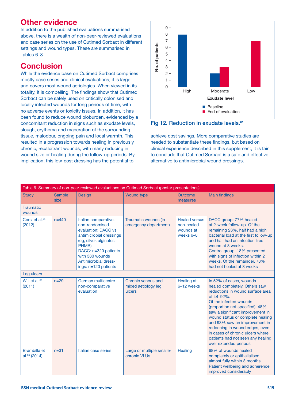## Other evidence

In addition to the published evaluations summarised above, there is a wealth of non-peer-reviewed evaluations and case series on the use of Cutimed Sorbact in different settings and wound types. These are summarised in Tables 6–8.

## Conclusion

While the evidence base on Cutimed Sorbact comprises mostly case series and clinical evaluations, it is large and covers most wound aetiologies. When viewed in its totality, it is compelling. The findings show that Cutimed Sorbact can be safely used on critically colonised and locally infected wounds for long periods of time, with no adverse events or toxicity issues. In addition, it has been found to reduce wound bioburden, evidenced by a concomitant reduction in signs such as exudate levels, slough, erythema and maceration of the surrounding tissue, malodour, ongoing pain and local warmth. This resulted in a progression towards healing in previously chronic, recalcitrant wounds, with many reducing in wound size or healing during the follow-up periods. By implication, this low-cost dressing has the potential to



Fig 12. Reduction in exudate levels.<sup>61</sup>

achieve cost savings. More comparative studies are needed to substantiate these findings, but based on clinical experience described in this supplement, it is fair to conclude that Cutimed Sorbact is a safe and effective alternative to antimicrobial wound dressings.

| Table 6. Summary of non-peer-reviewed evaluations on Cutimed Sorbact (poster presentations) |                       |                                                                                                                                                                                                                           |                                                     |                                                              |                                                                                                                                                                                                                                                                                                                                                                                                                      |
|---------------------------------------------------------------------------------------------|-----------------------|---------------------------------------------------------------------------------------------------------------------------------------------------------------------------------------------------------------------------|-----------------------------------------------------|--------------------------------------------------------------|----------------------------------------------------------------------------------------------------------------------------------------------------------------------------------------------------------------------------------------------------------------------------------------------------------------------------------------------------------------------------------------------------------------------|
| <b>Study</b>                                                                                | <b>Sample</b><br>size | Design                                                                                                                                                                                                                    | <b>Wound type</b>                                   | <b>Outcome</b><br>measures                                   | <b>Main findings</b>                                                                                                                                                                                                                                                                                                                                                                                                 |
| <b>Traumatic</b><br>wounds                                                                  |                       |                                                                                                                                                                                                                           |                                                     |                                                              |                                                                                                                                                                                                                                                                                                                                                                                                                      |
| Corsi et al. <sup>64</sup><br>(2012)                                                        | $n = 440$             | Italian comparative,<br>non-randomised<br>evaluation: DACC vs<br>antimicrobial dressings<br>(eg, silver, alginates,<br>PHMB)<br>DACC: n=320 patients<br>with 380 wounds<br>Antimicrobial dress-<br>ings: $n=120$ patients | Traumatic wounds (in<br>emergency department)       | <b>Healed versus</b><br>non-healed<br>wounds at<br>weeks 6-8 | DACC group: 77% healed<br>at 2-week follow-up. Of the<br>remaining 23%, half had a high<br>bacterial load at the first follow-up<br>and half had an infection-free<br>wound at 8 weeks.<br>Control group: 18% presented<br>with signs of infection within 2<br>weeks. Of the remainder, 78%<br>had not healed at 8 weeks                                                                                             |
| Leg ulcers                                                                                  |                       |                                                                                                                                                                                                                           |                                                     |                                                              |                                                                                                                                                                                                                                                                                                                                                                                                                      |
| Will et al. <sup>65</sup><br>(2011)                                                         | $n=29$                | German multicentre<br>non-comparative<br>evaluation                                                                                                                                                                       | Chronic venous and<br>mixed aetiology leg<br>ulcers | Healing at<br>6-12 weeks                                     | In 52% of cases, wounds<br>healed completely. Others saw<br>reductions in wound surface area<br>of 44-92%.<br>Of the infected wounds<br>(proportion not specified), 48%<br>saw a significant improvement in<br>wound status or complete healing<br>and 93% saw an improvement in<br>reddening in wound edges, even<br>in cases of chronic ulcers where<br>patients had not seen any healing<br>over extended periods |
| Brambilla et<br>al. $66(2014)$                                                              | $n = 31$              | Italian case series                                                                                                                                                                                                       | Large or multiple smaller<br>chronic VLUs           | Healing                                                      | 68% of wounds healed<br>completely or epithelialised<br>almost fully within 3 months.<br>Patient wellbeing and adherence<br>improved considerably                                                                                                                                                                                                                                                                    |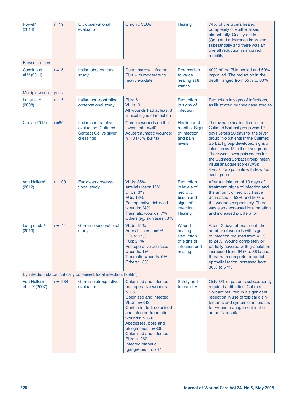| Powell <sup>67</sup><br>(2014)                    | $n=19$     | <b>UK</b> observational<br>evaluation                                            | <b>Chronic VLUs</b>                                                                                                                                                                                                                                                                                                  | Healing                                                                                  | 74% of the ulcers healed<br>completely or epithelialised<br>almost fully. Quality of life<br>(QoL) and adherence improved<br>substantially and there was an<br>overall reduction in impaired<br>mobility                                                                                                                                                                           |
|---------------------------------------------------|------------|----------------------------------------------------------------------------------|----------------------------------------------------------------------------------------------------------------------------------------------------------------------------------------------------------------------------------------------------------------------------------------------------------------------|------------------------------------------------------------------------------------------|------------------------------------------------------------------------------------------------------------------------------------------------------------------------------------------------------------------------------------------------------------------------------------------------------------------------------------------------------------------------------------|
| <b>Pressure ulcers</b>                            |            |                                                                                  |                                                                                                                                                                                                                                                                                                                      |                                                                                          |                                                                                                                                                                                                                                                                                                                                                                                    |
| Cassino et<br>al. <sup>68</sup> (2011)            | $n = 15$   | Italian observational<br>study                                                   | Deep, narrow, infected<br>PUs with moderate to<br>heavy exudate                                                                                                                                                                                                                                                      | Progression<br>towards<br>healing at 8<br>weeks                                          | 40% of the PUs healed and 60%<br>improved. The reduction in the<br>depth ranged from 55% to 80%                                                                                                                                                                                                                                                                                    |
| Multiple wound types                              |            |                                                                                  |                                                                                                                                                                                                                                                                                                                      |                                                                                          |                                                                                                                                                                                                                                                                                                                                                                                    |
| Lui et al. <sup>69</sup><br>(2008)                | $n = 15$   | Italian non-controlled<br>observational study                                    | <b>PUs: 6</b><br><b>VLUs: 9</b><br>All wounds had at least 3<br>clinical signs of infection                                                                                                                                                                                                                          | Reduction<br>in signs of<br>infection                                                    | Reduction in signs of infections,<br>as illustrated by thee case studies                                                                                                                                                                                                                                                                                                           |
| Corsi <sup>70</sup> (2012)                        | $n=80$     | Italian comparative<br>evaluation: Cutimed<br>Sorbact Gel vs silver<br>dressings | Chronic wounds on the<br>lower limb: $n=40$<br>Acute traumatic wounds:<br>n=40 (75% burns)                                                                                                                                                                                                                           | Healing at 4<br>months. Signs<br>of infection<br>and pain<br>levels                      | The average healing time in the<br>Cutimed Sorbact group was 12<br>days versus 20 days for the silver<br>group. No patients in the Cutimed<br>Sorbact group developed signs of<br>infection vs 12 in the silver group.<br>There were lower pain scores for<br>the Cutimed Sorbact group: mean<br>visual analogue score (VAS):<br>4 vs. 8. Two patients withdrew from<br>each group |
| Von Hallern <sup>71</sup><br>(2012)               | $n = 100$  | European observa-<br>tional study                                                | <b>VLUs: 35%</b><br>Arterial ulcers: 15%<br><b>DFUs: 3%</b><br><b>PUs: 13%</b><br>Postoperative dehisced<br>wounds: 24%<br>Traumatic wounds: 7%<br>Others (eg, skin tears): 3%                                                                                                                                       | Reduction<br>in levels of<br>necrotic<br>tissue and<br>signs of<br>infection.<br>Healing | After a minimum of 10 days of<br>treatment, signs of infection and<br>the amount of necrotic tissue<br>decreased in 53% and 56% of<br>the wounds respectively. There<br>was also decreased inflammation<br>and increased proliferation                                                                                                                                             |
| Lang et al. <sup>72</sup><br>(2013)               | $n = 144$  | German observational<br>study                                                    | <b>VLUs: 31%</b><br>Arterial ulcers: n=6%<br><b>DFUs: 17%</b><br><b>PUs: 21%</b><br>Postoperative dehisced<br>wounds: 1%<br>Traumatic wounds: 6%<br>Others: 18%                                                                                                                                                      | <b>Wound</b><br>healing.<br>Reduction<br>of signs of<br>infection and<br>healing         | After 12 days of treatment, the<br>number of wounds with signs<br>of infection reduced from 41%<br>to 24%. Wound completely or<br>partially covered with granulation<br>increased from 64% to 88% and<br>those with complete or partial<br>epithelialisation increased from<br>30% to 67%                                                                                          |
|                                                   |            | By infection status (critically colonised, local infection, biofilm)             |                                                                                                                                                                                                                                                                                                                      |                                                                                          |                                                                                                                                                                                                                                                                                                                                                                                    |
| <b>Von Hallern</b><br>et al. <sup>73</sup> (2007) | $n = 1934$ | German retrospective<br>evaluation                                               | Colonised and infected<br>postoperative wounds:<br>$n = 351$<br>Colonised and infected<br><b>VLUs: n=343</b><br>Contaminated, colonised<br>and infected traumatic<br>wounds: $n=396$<br>Abscesses, boils and<br>phlegmones: n=335<br>Colonised and infected<br>PUs: n=262<br>Infected diabetic<br>'gangrenes': n=247 | Safety and<br>tolerability                                                               | Only 8% of patients subsequently<br>required antibiotics. Cutimed<br>Sorbact resulted in a significant<br>reduction in use of topical disin-<br>fectants and systemic antibiotics<br>for wound management in the<br>author's hospital                                                                                                                                              |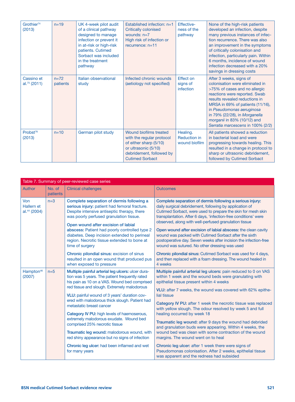| Grothier <sup>74</sup><br>(2013)       | $n=19$             | UK 4-week pilot audit<br>of a clinical pathway<br>designed to manage<br>infection or prevent it<br>in at-risk or high-risk<br>patients. Cutimed<br>Sorbact was included<br>in the treatment<br>pathway | Established infection: n=1<br><b>Critically colonised</b><br>wounds: $n=7$<br>High risk of infection or<br>recurrence: $n=11$                               | Effective-<br>ness of the<br>pathway             | None of the high-risk patients<br>developed an infection, despite<br>many previous instances of infec-<br>tion recurrence. There was also<br>an improvement in the symptoms<br>of critically colonisation and<br>infection, particularly pain. Within<br>6 months, incidence of wound<br>infection decreased with a 20%<br>savings in dressing costs |
|----------------------------------------|--------------------|--------------------------------------------------------------------------------------------------------------------------------------------------------------------------------------------------------|-------------------------------------------------------------------------------------------------------------------------------------------------------------|--------------------------------------------------|------------------------------------------------------------------------------------------------------------------------------------------------------------------------------------------------------------------------------------------------------------------------------------------------------------------------------------------------------|
| Cassino et<br>al. <sup>75</sup> (2011) | $n=72$<br>patients | Italian observational<br>study                                                                                                                                                                         | Infected chronic wounds<br>(aetiology not specified)                                                                                                        | Effect on<br>signs of<br>infection               | After 3 weeks, signs of<br>colonisation were eliminated in<br>>75% of cases and no allergic<br>reactions were reported. Swab<br>results revealed reductions in<br>MRSA in 69% of patients (11/16),<br>in Pseudomonas aeruginosa<br>in 79% (22/28), in Morganella<br>morganii in 83% (10/12) and<br>Serratia marcescens in 100% (2/2)                 |
| Probst <sup>76</sup><br>(2013)         | $n=10$             | German pilot study                                                                                                                                                                                     | Wound biofilms treated<br>with the regular protocol<br>of either sharp (5/10)<br>or ultrasonic (5/10)<br>debridement, followed by<br><b>Cutimed Sorbact</b> | Healing.<br><b>Reduction in</b><br>wound biofilm | All patients showed a reduction<br>in bacterial load and were<br>progressing towards healing. This<br>resulted in a change in protocol to<br>sharp or ultrasonic debridement,<br>followed by Cutimed Sorbact                                                                                                                                         |

|                                                      | Table 7. Summary of peer-reviewed case series |                                                                                                                                                                                                                                                                                                                                                                                                                                                                                                                                                                                                                                |                                                                                                                                                                                                                                                                                                                                                                                                                                                                                                                                                                                                                                                                                                                                                                                                          |  |  |
|------------------------------------------------------|-----------------------------------------------|--------------------------------------------------------------------------------------------------------------------------------------------------------------------------------------------------------------------------------------------------------------------------------------------------------------------------------------------------------------------------------------------------------------------------------------------------------------------------------------------------------------------------------------------------------------------------------------------------------------------------------|----------------------------------------------------------------------------------------------------------------------------------------------------------------------------------------------------------------------------------------------------------------------------------------------------------------------------------------------------------------------------------------------------------------------------------------------------------------------------------------------------------------------------------------------------------------------------------------------------------------------------------------------------------------------------------------------------------------------------------------------------------------------------------------------------------|--|--|
| Author                                               | No. of<br>patients                            | <b>Clinical challenges</b>                                                                                                                                                                                                                                                                                                                                                                                                                                                                                                                                                                                                     | <b>Outcomes</b>                                                                                                                                                                                                                                                                                                                                                                                                                                                                                                                                                                                                                                                                                                                                                                                          |  |  |
| Von<br><b>Hallern et</b><br>al. <sup>44</sup> (2004) | $n=3$                                         | Complete separation of dermis following a<br>serious injury: patient had femoral fracture.<br>Despite intensive antiseptic therapy, there<br>was poorly perfused granulation tissue.<br>Open wound after excision of labial<br>abscess: Patient had poorly controlled type 2<br>diabetes. Deep incision extended to perineal<br>region. Necrotic tissue extended to bone at<br>time of surgery<br>Chronic pilondial sinus: excision of sinus<br>resulted in an open wound that produced pus<br>when exposed to pressure                                                                                                        | Complete separation of dermis following a serious injury:<br>daily surgical debridement, following by application of<br>Cutimed Sorbact, were used to prepare the skin for mesh skin<br>transplantation. After 6 days, 'infection-free conditions' were<br>observed, along with well-perfused granulation tissue<br>Open wound after excision of labial abscess: the clean cavity<br>wound was packed with Cutimed Sorbact after the sixth<br>postoperative day. Seven weeks after incision the infection-free<br>wound was sutured. No other dressing was used<br>Chronic pilondial sinus: Cutimed Sorbact was used for 4 days,<br>and then replaced with a foam dressing. The wound healed in<br>4 weeks                                                                                               |  |  |
| Hampton <sup>46</sup><br>(2007)                      | $n=5$                                         | Multiple painful arterial leg ulcers: ulcer dura-<br>tion was 5 years. The patient frequently rated<br>his pain as 10 on a VAS. Wound bed comprised<br>red tissue and slough. Extremely malodorous<br>VLU: painful wound of 3 years' duration cov-<br>ered with malodorous thick slough. Patient had<br>metastatic breast cancer<br>Category IV PU: high levels of haemoserous,<br>extremely malodorous exudate. Wound bed<br>comprised 25% necrotic tissue<br>Traumatic leg wound: malodorous wound, with<br>red shiny appearance but no signs of infection<br>Chronic leg ulcer: had been inflamed and wet<br>for many years | Multiple painful arterial leg ulcers: pain reduced to 0 on VAS<br>within 1 week and the wound beds were granulating with<br>epithelial tissue present within 4 weeks<br>VLU: after 7 weeks, the wound was covered with 62% epithe-<br>lial tissue<br>Category IV PU: after 1 week the necrotic tissue was replaced<br>with yellow slough. The odour resolved by week 5 and full<br>healing occurred by week 18<br>Traumatic leg wound: after 9 days the wound had debrided<br>and granulation buds were appearing. Within 4 weeks, the<br>wound bed was clean with some contraction of the wound<br>margins. The wound went on to heal<br>Chronic leg ulcer: after 1 week there were signs of<br>Pseudomonas colonisation. After 2 weeks, epithelial tissue<br>was apparent and the redness had subsided |  |  |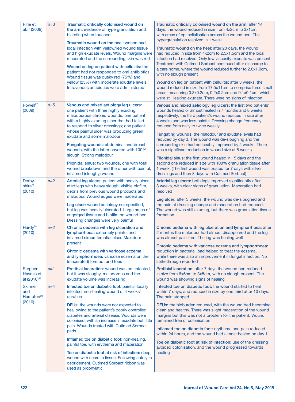| Pirie et<br>al. <sup>77</sup> (2009)                     | $n=3$ | Traumatic critically colonised wound on<br>the arm: evidence of hypergranulation and<br>bleeding when touched<br>Traumatic wound on the heel: wound had<br>local infection with yellow/red wound tissue<br>and high exudate levels. Wound margins were<br>macerated and the surrounding skin was red<br>Wound on leg on patient with cellulitis: the<br>patient had not responded to oral antibiotics.<br>Wound tissue was dusky red (75%) and<br>yellow (25%) with moderate exudate levels.<br>Intravenous antibiotics were administered                                                                                            | Traumatic critically colonised wound on the arm: after 14<br>days, the wound reduced in size from 4x2cm to 3x1cm,<br>with areas of epithelialisation across the wound bed. The<br>hypergranulation resolved in 1 week<br>Traumatic wound on the heel: after 20 days, the wound<br>had reduced in size from 4x2cm to 2.5x1.5cm and the local<br>infection had resolved. Only low viscosity exudate was present.<br>Treatment with Cutimed Sorbact continued after discharge to<br>a care home, where the wound reduced further to 2.0x1.0cm,<br>with no slough present<br>Wound on leg on patient with cellulitis: after 3 weeks, the<br>wound reduced in size from 17.5x11cm to comprise three small<br>areas, measuring 0.3x0.2cm, 0.2x0.2cm and 0.1x0.1cm, which<br>were still leaking exudate. There were no signs of infection |
|----------------------------------------------------------|-------|--------------------------------------------------------------------------------------------------------------------------------------------------------------------------------------------------------------------------------------------------------------------------------------------------------------------------------------------------------------------------------------------------------------------------------------------------------------------------------------------------------------------------------------------------------------------------------------------------------------------------------------|------------------------------------------------------------------------------------------------------------------------------------------------------------------------------------------------------------------------------------------------------------------------------------------------------------------------------------------------------------------------------------------------------------------------------------------------------------------------------------------------------------------------------------------------------------------------------------------------------------------------------------------------------------------------------------------------------------------------------------------------------------------------------------------------------------------------------------|
| Powell <sup>67</sup><br>(2009)                           | $n=5$ | Venous and mixed aetiology leg ulcers:<br>one patient with three highly exuding,<br>malodourous chronic wounds; one patient<br>with a highly exuding ulcer that had failed<br>to respond to silver dressings; one patient<br>whose painful ulcer was producing green<br>exudate and some malodour<br>Fungating wounds: abdominal and breast<br>wounds, with the latter covered with 100%<br>slough. Strong malodour<br>Pilonidal sinus: two wounds, one with total<br>wound breakdown and the other with painful,<br>inflamed (sloughy) wound                                                                                        | Venous and mixed aetiology leg ulcers: the first two patients'<br>wounds healed or almost healed in 7 months and 8 weeks<br>respectively; the third patient's wound reduced in size after<br>4 weeks and was less painful. Dressing change frequency<br>reduced from daily to twice weekly<br>Fungating wounds: the malodour and exudate levels had<br>reduced by day 3. The wound was de-sloughing and the<br>surrounding skin had noticeably improved by 2 weeks. There<br>was a significant reduction in wound size at 8 weeks<br>Pilonidal sinus: the first wound healed in 15 days and the<br>second one reduced in size with 100% granulation tissue after<br>1 week. (The first wound was treated for 7 days with silver<br>dressings and then 8 days with Cutimed Sorbact)                                                 |
| Derby-<br>shire <sup>78</sup><br>(2010)                  | $n=2$ | Arterial leg ulcers: patient with heavily ulcer-<br>ated legs with heavy slough, visible biofilm,<br>debris from previous wound products and<br>malodour. Wound edges were macerated<br>Leg ulcer: wound aetiology not specified,<br>but leg was heavily ulcerated. Large areas of<br>engorged tissue and biofilm on wound bed.<br>Dressing changes were very painful                                                                                                                                                                                                                                                                | Arterial leg ulcers: both legs improved significantly after<br>3 weeks, with clear signs of granulation. Maceration had<br>resolved<br>Leg ulcer: after 3 weeks, the wound was de-sloughed and<br>the pain at dressing change and maceration had reduced.<br>The wound was still exuding, but there was granulation tissue<br>formation                                                                                                                                                                                                                                                                                                                                                                                                                                                                                            |
| Hardy <sup>79</sup><br>(2010)                            | $n=2$ | Chronic oedema with leg ulceration and<br>lymphorrhoea: extremely painful and<br>inflamed circumferential ulcer. Malodour<br>present<br>Chronic oedema with varicose eczema<br>and lymphorrhoea: varicose eczema on the<br>(macerated) forefoot and toes                                                                                                                                                                                                                                                                                                                                                                             | Chronic oedema with leg ulceration and lymphorrhoea: after<br>2 months the malodour had almost disappeared and the leg<br>was almost pain-free. The leg was healing well<br>Chronic oedema with varicose eczema and lymphorrhoea:<br>reduction in bacterial load helped to treat the eczema,<br>while there was also an improvement in fungal infection. No<br>strikethrough reported                                                                                                                                                                                                                                                                                                                                                                                                                                              |
| Stephen-<br>Haynes et<br>al (2010) <sup>48</sup>         | $n=1$ | Pretibial laceration: wound was not infected.<br>but it was sloughy, malodorous and the<br>exudate volume was increasing                                                                                                                                                                                                                                                                                                                                                                                                                                                                                                             | Pretibial laceration: after 7 days the wound had reduced<br>in size from 6x6cm to 3x5cm, with no slough present. The<br>wound was showing signs of healing                                                                                                                                                                                                                                                                                                                                                                                                                                                                                                                                                                                                                                                                         |
| <b>Skinner</b><br>and<br>Hampton <sup>80</sup><br>(2010) | $n=4$ | Infected toe on diabetic foot: painful, locally<br>infected, non-healing wound of 4 weeks'<br>duration<br><b>DFUs:</b> the wounds were not expected to<br>heal owing to the patient's poorly controlled<br>diabetes and arterial disease. Wounds were<br>colonised, with an increase in exudate but little<br>pain. Wounds treated with Cutimed Sorbact<br>pads<br>Inflamed toe on diabetic foot: non-healing,<br>painful toe, with erythema and maceration.<br>Toe on diabetic foot at risk of infection: deep<br>wound with necrotic tissue. Following autolytic<br>debridement, Cutimed Sorbact ribbon was<br>used as prophylatic | Infected toe on diabetic foot: the wound started to heal<br>within 7 days, and reduced in size by one third after 10 days.<br>The pain stopped<br><b>DFUs:</b> the bioburden reduced, with the wound bed becoming<br>clean and healthy. There was slight maceration of the wound<br>margins but this was not a problem for the patient. Wound<br>remained free of colonisation<br>Inflamed toe on diabetic foot: erythema and pain reduced<br>within 24 hours, and the wound had almost healed on day 11<br>Toe on diabetic foot at risk of infection: use of the dressing<br>avoided colonisation, and the wound progressed towards<br>healing                                                                                                                                                                                    |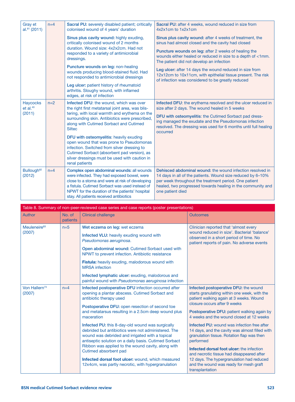| Gray et<br>$al.^{81}$ (2011)     | $n=4$ | Sacral PU: severely disabled patient; critically<br>colonised wound of 4 years' duration                                                                                                                                                                                                    | Sacral PU: after 4 weeks, wound reduced in size from<br>4x2x1cm to 1x2x1cm                                                                                                                                                                                           |  |
|----------------------------------|-------|---------------------------------------------------------------------------------------------------------------------------------------------------------------------------------------------------------------------------------------------------------------------------------------------|----------------------------------------------------------------------------------------------------------------------------------------------------------------------------------------------------------------------------------------------------------------------|--|
|                                  |       | Sinus plus cavity wound: highly exuding,<br>critically colonised wound of 2 months                                                                                                                                                                                                          | Sinus plus cavity wound: after 4 weeks of treatment, the<br>sinus had almost closed and the cavity had closed                                                                                                                                                        |  |
|                                  |       | duration. Wound size: 4x2x2cm. Had not<br>responded to a variety of antimicrobial<br>dressings.                                                                                                                                                                                             | Puncture wounds on leg: after 2 weeks of healing the<br>wounds either healed or reduced in size to a depth of <1mm.<br>The patient did not develop an infection                                                                                                      |  |
|                                  |       | Puncture wounds on leg: non-healing<br>wounds producing blood-stained fluid. Had<br>not responded to antimicrobial dressings                                                                                                                                                                | Leg ulcer: after 14 days the wound reduced in size from<br>12x12cm to 10x11cm, with epithelial tissue present. The risk<br>of infection was considered to be greatly reduced                                                                                         |  |
|                                  |       | Leg ulcer: patient history of rheumatoid<br>arthritis. Sloughy wound, with inflamed<br>edges, at risk of infection                                                                                                                                                                          |                                                                                                                                                                                                                                                                      |  |
| <b>Haycocks</b><br>$et$ al. $40$ | $n=2$ | Infected DFU: the wound, which was over<br>the right first metatarsal joint area, was blis-<br>tering, with local warmth and erythema on the<br>surrounding skin. Antibiotics were prescribed,<br>along with Cutimed Sorbact and Cutimed<br><b>Siltec</b>                                   | Infected DFU: the erythema resolved and the ulcer reduced in<br>size after 2 days. The wound healed in 5 weeks                                                                                                                                                       |  |
| (2011)                           |       |                                                                                                                                                                                                                                                                                             | DFU with osteomyelitis: the Cutimed Sorbact pad dress-<br>ing managed the exudate and the Pseudomonas infection<br>resolved. The dressing was used for 6 months until full healing<br>occurred                                                                       |  |
|                                  |       | DFU with osteomyelitis: heavily exuding<br>open wound that was prone to Pseudomonas<br>infection. Switched from silver dressing to<br>Cutimed Sorbact (absorbent pad version), as<br>silver dressings must be used with caution in                                                          |                                                                                                                                                                                                                                                                      |  |
|                                  |       | renal patients                                                                                                                                                                                                                                                                              |                                                                                                                                                                                                                                                                      |  |
| Bullough <sup>82</sup><br>(2012) | $n=4$ | Complex open abdominal wounds: all wounds<br>were infected. They had exposed bowel, were<br>close to a stoma and were at risk of developing<br>a fistula. Cutimed Sorbact was used instead of<br>NPWT for the duration of the patients' hospital<br>stay. All patients received antibiotics | Dehisced abdominal wound: the wound infection resolved in<br>14 days in all of the patients. Wound size reduced by 6-10%<br>per week throughout the treatment period. One patient<br>healed, two progressed towards healing in the community and<br>one patient died |  |

| Table 8. Summary of non-peer-reviewed case series and case reports (poster presentations) |                    |                                                                                                                                                                                                                                                                                                    |                                                                                                                                                                                                  |
|-------------------------------------------------------------------------------------------|--------------------|----------------------------------------------------------------------------------------------------------------------------------------------------------------------------------------------------------------------------------------------------------------------------------------------------|--------------------------------------------------------------------------------------------------------------------------------------------------------------------------------------------------|
| Author                                                                                    | No. of<br>patients | <b>Clinical challenge</b>                                                                                                                                                                                                                                                                          | <b>Outcomes</b>                                                                                                                                                                                  |
| Meuleneire <sup>83</sup><br>(2007)                                                        | $n=5$              | Wet eczema on leg: wet eczema                                                                                                                                                                                                                                                                      | Clinician reported that 'almost every<br>wound reduced in size'. Bacterial 'balance'<br>observed in a short period of time. No<br>patient reports of pain. No adverse events                     |
|                                                                                           |                    | Infected VLU: heavily exuding wound with<br>Pseudomonas aeruginosa.                                                                                                                                                                                                                                |                                                                                                                                                                                                  |
|                                                                                           |                    | Open abdominal wound: Cutimed Sorbact used with<br>NPWT to prevent infection. Antibiotic resistance                                                                                                                                                                                                |                                                                                                                                                                                                  |
|                                                                                           |                    | Fistula: heavily exuding, malodorous wound with<br><b>MRSA</b> infection                                                                                                                                                                                                                           |                                                                                                                                                                                                  |
|                                                                                           |                    | Infected lymphatic ulcer: exuding, malodorous and<br>painful wound with Pseudomonas aeruginosa infection                                                                                                                                                                                           |                                                                                                                                                                                                  |
| Von Hallern <sup>73</sup><br>(2007)                                                       | $n=4$              | Infected postoperative DFU infection occurred after<br>opening a plantar abscess. Cutimed Sorbact and<br>antibiotic therapy used                                                                                                                                                                   | Infected postoperative DFU: the wound<br>starts granulating within one week, with the<br>patient walking again at 3 weeks. Wound                                                                 |
|                                                                                           |                    | Postoperative DFU: open resection of second toe<br>and metatarsus resulting in a 2.5cm deep wound plus<br>maceration                                                                                                                                                                               | closure occurs after 9 weeks                                                                                                                                                                     |
|                                                                                           |                    |                                                                                                                                                                                                                                                                                                    | Postoperative DFU: patient walking again by<br>4 weeks and the wound closed at 12 weeks                                                                                                          |
|                                                                                           |                    | Infected PU: this 8-day-old wound was surgically<br>debrided but antibiotics were not administered. The<br>wound was debrided and irrigated with a topical<br>antiseptic solution on a daily basis. Cutimed Sorbact<br>Ribbon was applied to the wound cavity, along with<br>Cutimed absorbent pad | Infected PU: wound was infection free after<br>14 days, and the cavity was almost filled with<br>granulation tissue. Rotation flap was then<br>performed                                         |
|                                                                                           |                    |                                                                                                                                                                                                                                                                                                    | Infected dorsal foot ulcer: the infection<br>and necrotic tissue had disappeared after<br>12 days. The hypergranulation had reduced<br>and the wound was ready for mesh graft<br>transplantation |
|                                                                                           |                    | Infected dorsal foot ulcer: wound, which measured<br>12x4cm, was partly necrotic, with hypergranulation                                                                                                                                                                                            |                                                                                                                                                                                                  |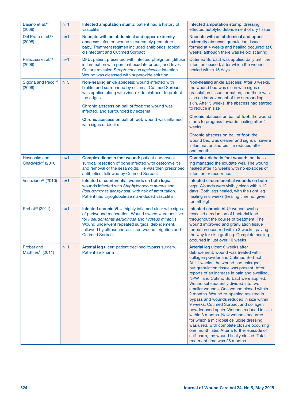| Baiano et al. <sup>84</sup><br>(2008)              | $n=1$ | Infected amputation stump: patient had a history of<br>vasculitis                                                                                                                                                                                                                                     | Infected amputation stump: dressing<br>effected autolytic debridement of dry tissue                                                                                                                                                                                                                                                                                                                                                                                                                                                                                                                                                                                                                                                                                                                                          |
|----------------------------------------------------|-------|-------------------------------------------------------------------------------------------------------------------------------------------------------------------------------------------------------------------------------------------------------------------------------------------------------|------------------------------------------------------------------------------------------------------------------------------------------------------------------------------------------------------------------------------------------------------------------------------------------------------------------------------------------------------------------------------------------------------------------------------------------------------------------------------------------------------------------------------------------------------------------------------------------------------------------------------------------------------------------------------------------------------------------------------------------------------------------------------------------------------------------------------|
| Del Prato et al. <sup>85</sup><br>(2008)           | $n=1$ | Neonate with an abdominal and upper-extremity<br>abscess: infected wound in extremely premature<br>baby. Treatment regimen included antibiotics, topical<br>disinfectant and Cutimed Sorbact                                                                                                          | Neonate with an abdominal and upper-<br>extremity abscess: granulation tissue<br>formed at 4 weeks and healing occurred at 6<br>weeks, although there was keloid scarring                                                                                                                                                                                                                                                                                                                                                                                                                                                                                                                                                                                                                                                    |
| Palazzesi et al. <sup>86</sup><br>(2008)           | $n=1$ | DFU: patient presented with infected phelgmon (diffuse<br>inflammation with purulent exudate or pus) and fever.<br>Culture revealed Streptococcus agalactiae infection.<br>Wound was cleansed with superoxide solution                                                                                | Cutimed Sorbact was applied daily until the<br>infection ceased, after which the wound<br>healed within 15 days                                                                                                                                                                                                                                                                                                                                                                                                                                                                                                                                                                                                                                                                                                              |
| Sigona and Pecci <sup>87</sup><br>(2008)           | $n=3$ | Non-healing ankle abscess: wound infected with<br>biofilm and surrounded by eczema. Cutimed Sorbact<br>was applied along with zinc-oxide ointment to protect<br>the edges<br>Chronic abscess on ball of foot: the wound was<br>infected, and surrounded by eczema                                     | Non-healing ankle abscess: After 3 weeks,<br>the wound bed was clean with signs of<br>granulation tissue formation, and there was<br>also an improvement of the surrounding<br>skin. After 5 weeks, the abscess had started<br>to reduce in size                                                                                                                                                                                                                                                                                                                                                                                                                                                                                                                                                                             |
|                                                    |       | Chronic abscess on ball of foot: wound was inflamed<br>with signs of biofilm                                                                                                                                                                                                                          | Chronic abscess on ball of foot: the wound<br>starts to progress towards healing after 4<br>weeks                                                                                                                                                                                                                                                                                                                                                                                                                                                                                                                                                                                                                                                                                                                            |
|                                                    |       |                                                                                                                                                                                                                                                                                                       | Chronic abscess on ball of foot: the<br>wound bed was cleaner and signs of severe<br>inflammation and biofilm reduced after<br>one month                                                                                                                                                                                                                                                                                                                                                                                                                                                                                                                                                                                                                                                                                     |
| Haycocks and<br>Chadwick <sup>88</sup> (2010       | $n=1$ | Complex diabetic foot wound: patient underwent<br>surgical resection of bone infected with osteomyelitis<br>and removal of the sesamoids. He was then prescribed<br>antibiotics, followed by Cutimed Sorbact                                                                                          | Complex diabetic foot wound: the dress-<br>ing managed the exudate well. The wound<br>healed after 15 weeks with no episodes of<br>infection or recurrence                                                                                                                                                                                                                                                                                                                                                                                                                                                                                                                                                                                                                                                                   |
| Veneziano <sup>89</sup> (2010)                     | $n=1$ | Infected circumferential wounds on both legs:<br>wounds infected with Staphylococcus aureus and<br>Pseudomonas aeruginosa, with risk of amputation.<br>Patient had cryoglobulinaemia-induced vasculitis                                                                                               | Infected circumferential wounds on both<br>legs: Wounds were visibly clean within 12<br>days. Both legs healed, with the right leg<br>healing in 8 weeks (healing time not given<br>for left leg)                                                                                                                                                                                                                                                                                                                                                                                                                                                                                                                                                                                                                            |
| Probst <sup>90</sup> (2011)                        | $n=1$ | Infected chronic VLU: highly inflamed ulcer with signs<br>of periwound maceration. Wound swabs were positive<br>for Pseudomonas aeruginosa and Proteus mirabilis.<br>Wound underwent repeated surgical debridement,<br>followed by ultrasound-assisted wound irrigation and<br><b>Cutimed Sorbact</b> | Infected chronic VLU: wound swabs<br>revealed a reduction of bacterial load<br>throughout the course of treatment. The<br>wound improved and granulation tissue<br>formation occurred within 3 weeks, paving<br>the way for skin grafting. Complete healing<br>occurred in just over 10 weeks                                                                                                                                                                                                                                                                                                                                                                                                                                                                                                                                |
| <b>Probst and</b><br>Matthies <sup>91</sup> (2011) | $n=1$ | Arterial leg ulcer: patient declined bypass surgery.<br>Patient self-harm                                                                                                                                                                                                                             | Arterial leg ulcer: 6 weeks after<br>debridement, wound was treated with<br>collagen powder and Cutimed Sorbact.<br>At 11 weeks, the wound had enlarged,<br>but granulation tissue was present. After<br>reports of an increase in pain and swelling,<br>NPWT and Cutimd Sorbact were applied.<br>Wound subsequently divided into two<br>smaller wounds. One wound closed within<br>2 months. Wound re-opening resulted in<br>bypass and wounds reduced in size within<br>9 weeks. Cutimed Sorbact and collagen<br>powder used again. Wounds reduced in size<br>within 3 months. New wounds occurred,<br>for which a microbial cellulose dressing<br>was used, with complete closure occurring<br>one month later. After a further episode of<br>self-harm, the wound finally closed. Total<br>treatment time was 26 months. |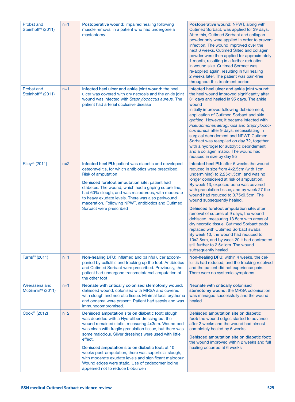| <b>Probst and</b><br>Steinhoff <sup>92</sup> (2011) | $n=1$ | Postoperative wound: impaired healing following<br>muscle removal in a patient who had undergone a<br>mastectomy                                                                                                                                                                                                                                                                                                                                                                                                                                        | Postoperative wound: NPWT, along with<br>Cutimed Sorbact, was applied for 39 days.<br>After this, Cutimed Sorbact and collagen<br>powder only were applied in order to prevent<br>infection. The wound improved over the<br>next 6 weeks. Cutimed Siltec and collagen<br>powder were then applied for approximately<br>1 month, resulting in a further reduction<br>in wound size. Cutimed Sorbact was<br>re-applied again, resulting in full healing<br>2 weeks later. The patient was pain-free<br>throughout this treatment period                                                                                                                                                                              |
|-----------------------------------------------------|-------|---------------------------------------------------------------------------------------------------------------------------------------------------------------------------------------------------------------------------------------------------------------------------------------------------------------------------------------------------------------------------------------------------------------------------------------------------------------------------------------------------------------------------------------------------------|--------------------------------------------------------------------------------------------------------------------------------------------------------------------------------------------------------------------------------------------------------------------------------------------------------------------------------------------------------------------------------------------------------------------------------------------------------------------------------------------------------------------------------------------------------------------------------------------------------------------------------------------------------------------------------------------------------------------|
| <b>Probst and</b><br>Steinhoff <sup>93</sup> (2011) | $n=1$ | Infected heel ulcer and ankle joint wound: the heel<br>ulcer was covered with dry necrosis and the ankle joint<br>wound was infected with Staphylococcus aureus. The<br>patient had arterial occlusive disease                                                                                                                                                                                                                                                                                                                                          | Infected heel ulcer and ankle joint wound:<br>the heel wound improved significantly after<br>31 days and healed in 95 days. The ankle<br>wound<br>initially improved following debridement,<br>application of Cutimed Sorbact and skin<br>grafting. However, it became infected with<br>Pseudomonas aeruginosa and Staphylococ-<br>cus aureus after 9 days, necessitating in<br>surgical debridement and NPWT. Cutimed<br>Sorbact was reapplied on day 72, together<br>with a hydrogel for autolytic debridement<br>and a collagen matrix. The wound had<br>reduced in size by day 95                                                                                                                              |
| Riley <sup>94</sup> (2011)                          | $n=2$ | Infected heel PU: patient was diabetic and developed<br>osteomyelitis, for which antibiotics were prescribed.<br><b>Risk of amputation</b><br>Dehisced forefoot amputation site: patient had<br>diabetes. The wound, which had a gaping suture line,<br>had 60% slough, and was malodorous, with moderate<br>to heavy exudate levels. There was also periwound<br>maceration. Following NPWT, antibiotics and Cutimed<br>Sorbact were prescribed                                                                                                        | Infected heel PU: after 6 weeks the wound<br>reduced in size from 4x2.5cm (with 1cm<br>undermining) to 2.25x1.5cm, and was no<br>longer considered at risk of amputation.<br>By week 13, exposed bone was covered<br>with granulation tissue, and by week 27 the<br>wound had reduced to 0.75x0.5cm. The<br>wound subsequently healed.<br>Dehisced forefoot amputation site: after<br>removal of sutures at 9 days, the wound<br>dehisced, measuring 13.5cm with areas of<br>dry necrotic tissue. Cutimed Sorbact pads<br>replaced with Cutimed Sorbact swabs.<br>By week 10, the wound had reduced to<br>10x2.5cm, and by week 20 it had contracted<br>still further to 2.5x1cm. The wound<br>subsequently healed |
| Turns <sup>95</sup> (2011)                          | $n=1$ | Non-healing DFU: inflamed and painful ulcer accom-<br>panied by cellulitis and tracking up the foot. Antibiotics<br>and Cutimed Sorbact were prescribed. Previously, the<br>patient had undergone transmetatarsal amputation of<br>the other foot                                                                                                                                                                                                                                                                                                       | Non-healing DFU: within 4 weeks, the cel-<br>lulitis had reduced, and the tracking resolved<br>and the patient did not experience pain.<br>There were no systemic symptoms                                                                                                                                                                                                                                                                                                                                                                                                                                                                                                                                         |
| Weerasena and<br>McGinnis <sup>96</sup> (2011)      | $n=1$ | Neonate with critically colonised sternotomy wound:<br>dehisced wound, colonised with MRSA and covered<br>with slough and necrotic tissue. Minimal local erythema<br>and oedema were present. Patient had sepsis and was<br>immunocompromised.                                                                                                                                                                                                                                                                                                          | Neonate with critically colonised<br>sternotomy wound: the MRSA colonisation<br>was managed successfully and the wound<br>healed                                                                                                                                                                                                                                                                                                                                                                                                                                                                                                                                                                                   |
| Cook <sup>97</sup> (2012)                           | $n=2$ | Dehisced amputation site on diabetic foot: slough<br>was debrided with a Hydrofiber dressing but the<br>wound remained static, measuring 4x3cm. Wound bed<br>was clean with fragile granulation tissue, but there was<br>some malodour. Silver dressings were used with little<br>effect.<br>Dehisced amputation site on diabetic foot: at 10<br>weeks post-amputation, there was superficial slough,<br>with moderate exudate levels and significant malodour.<br>Wound edges were static. Use of cadexomer iodine<br>appeared not to reduce bioburden | Dehisced amputation site on diabetic<br>foot: the wound edges started to advance<br>after 2 weeks and the wound had almost<br>completely healed by 6 weeks<br>Dehisced amputation site on diabetic foot:<br>the wound improved within 2 weeks and full<br>healing occurred at 6 weeks                                                                                                                                                                                                                                                                                                                                                                                                                              |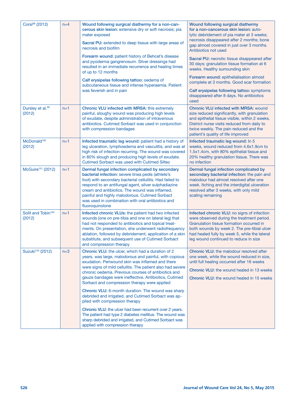| Corsi <sup>98</sup> (2012)               | $n=4$ | Wound following surgical diathermy for a non-can-<br>cerous skin lesion: extensive dry or soft necrosis; pia<br>mater exposed                                                                                                                                                                                                                                                                          | Wound following surgical diathermy<br>for a non-cancerous skin lesion: auto-<br>lytic debridement of pia mater at 3 weeks;<br>necrosis disappeared after 2 months; bone                                                                                                        |
|------------------------------------------|-------|--------------------------------------------------------------------------------------------------------------------------------------------------------------------------------------------------------------------------------------------------------------------------------------------------------------------------------------------------------------------------------------------------------|--------------------------------------------------------------------------------------------------------------------------------------------------------------------------------------------------------------------------------------------------------------------------------|
|                                          |       | Sacral PU: extended to deep tissue with large areas of<br>necrosis and biofilm                                                                                                                                                                                                                                                                                                                         | gap almost covered in just over 3 months.<br>Antibiotics not used                                                                                                                                                                                                              |
|                                          |       | Forearm wound: patient history of Behcet's disease<br>and pyoderma gangrenosum. Silver dressings had<br>resulted in an immediate recurrence and healing times<br>of up to 12 months                                                                                                                                                                                                                    | Sacral PU: necrotic tissue disappeared after<br>30 days; granulation tissue formation at 6<br>weeks. Healthy surrounding skin                                                                                                                                                  |
|                                          |       | Calf erysipelas following tattoo: oedema of<br>subcutaneous tissue and intense hyperaemia. Patient                                                                                                                                                                                                                                                                                                     | Forearm wound: epithelialisation almost<br>complete at 3 months. Good scar formation                                                                                                                                                                                           |
|                                          |       | was feverish and in pain                                                                                                                                                                                                                                                                                                                                                                               | Calf erysipelas following tattoo: symptoms<br>disappeared after 8 days. No antibiotics<br>used                                                                                                                                                                                 |
| Dursley et al. <sup>99</sup><br>(2012)   | $n=1$ | <b>Chronic VLU infected with MRSA: this extremely</b><br>painful, sloughy wound was producing high levels<br>of exudate, despite administration of intravenous<br>antibiotics. Cutimed Sorbact was used in conjunction<br>with compression bandages                                                                                                                                                    | <b>Chronic VLU infected with MRSA: wound</b><br>size reduced significantly, with granulation<br>and epithelial tissue visible, within 2 weeks.<br>District nurse visits reduced from daily to<br>twice weekly. The pain reduced and the<br>patient's quality of life improved  |
| McDonald <sup>100</sup><br>(2012)        | $n=1$ | Infected traumatic leg wound: patient had a history of<br>leg ulceration, lymphoedema and vasculitis, and was at<br>high risk of infection recurring. The wound was covered<br>in 80% slough and producing high levels of exudate.<br>Cutimed Sorbact was used with Cutimed Siltec                                                                                                                     | Infected traumatic leg wound: In 5<br>weeks, wound reduced from 4.6x1.9cm to<br>1.5x1.4cm, with 80% epithelial tissue and<br>20% healthy granulation tissue. There was<br>no infection                                                                                         |
| McGuire <sup>101</sup> (2012)            | $n=1$ | Dermal fungal infection complicated by secondary<br>bacterial infection: severe tinea pedis (athlete's<br>foot) with secondary bacterial cellulitis. Had failed to<br>respond to an antifungal agent, silver sulphadiazine<br>cream and antibiotics. The wound was inflamed,<br>painful and highly malodorous. Cutimed Sorbact<br>was used in combination with oral antibiotics and<br>fluoroquinolone | Dermal fungal infection complicated by<br>secondary bacterial infection: the pain and<br>malodour had almost resolved after one<br>week. Itching and the interdigital ulceration<br>resolved after 3 weeks, with only mild<br>scaling remaining                                |
| Solit and Tobin <sup>102</sup><br>(2012) | $n=1$ | Infected chronic VLUs: the patient had two infected<br>wounds (one on pre-tibia and one on lateral leg) that<br>had not responded to antibiotics and topical treat-<br>ments. On presentation, she underwent radiofrequency<br>ablation, followed by debridement, application of a skin<br>substitute, and subsequent use of Cutimed Sorbact<br>and compression therapy                                | Infected chronic VLU: no signs of infection<br>were observed during the treatment period.<br>Granulation tissue formation occurred in<br>both wounds by week 2. The pre-tibial ulcer<br>had healed fully by week 5, while the lateral<br>leg wound continued to reduce in size |
| Suzuki <sup>103</sup> (2012)             | $n=3$ | Chronic VLU: the ulcer, which had a duration of 2<br>years, was large, malodorous and painful, with copious<br>exudation. Periwound skin was inflamed and there<br>were signs of mild cellulitis. The patient also had severe<br>chronic oedema. Previous courses of antibiotics and<br>gauze bandages were ineffective. Antibiotics, Cutimed<br>Sorbact and compression therapy were applied          | <b>Chronic VLU:</b> the malodour resolved after<br>one week, while the wound reduced in size,<br>until full healing occurred after 16 weeks<br>Chronic VLU: the wound healed in 13 weeks<br><b>Chronic VLU:</b> the wound healed in 15 weeks                                   |
|                                          |       | Chronic VLU: 6-month duration. The wound was sharp<br>debrided and irrigated, and Cutimed Sorbact was ap-<br>plied with compression therapy                                                                                                                                                                                                                                                            |                                                                                                                                                                                                                                                                                |
|                                          |       | Chronic VLU: the ulcer had been recurrent over 2 years.<br>The patient had type 2 diabetes mellitus. The wound was<br>sharp debrided and irrigated, and Cutimed Sorbact was<br>applied with compression therapy                                                                                                                                                                                        |                                                                                                                                                                                                                                                                                |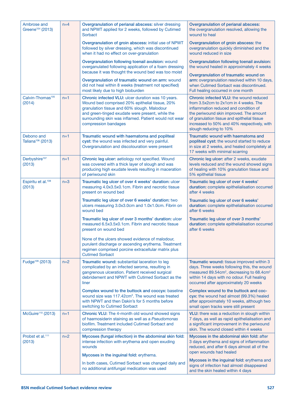| Ambrose and<br>Greene <sup>104</sup> (2013) | $n=4$ | Overgranulation of perianal abscess: silver dressing<br>and NPWT applied for 2 weeks, followed by Cutimed<br>Sorbact                                                                                                                                                                     | Overgranulation of perianal abscess:<br>the overgranulation resolved, allowing the<br>wound to heal                                                                                                                                                                                                 |
|---------------------------------------------|-------|------------------------------------------------------------------------------------------------------------------------------------------------------------------------------------------------------------------------------------------------------------------------------------------|-----------------------------------------------------------------------------------------------------------------------------------------------------------------------------------------------------------------------------------------------------------------------------------------------------|
|                                             |       | Overgranulation of groin abscess: initial use of NPWT<br>followed by silver dressing, which was discontinued<br>when it had no effect on over-granulation                                                                                                                                | Overgranulation of groin abscess: the<br>overgranulation quickly diminished and the<br>wound reduced in size                                                                                                                                                                                        |
|                                             |       | Overgranulation following toenail avulsion: wound<br>overganulated following application of a foam dressing<br>because it was thought the wound bed was too moist                                                                                                                        | Overgranulation following toenail avulsion:<br>the wound healed in approximately 4 weeks                                                                                                                                                                                                            |
|                                             |       | Overgranulation of traumatic wound on arm: wound<br>did not heal within 8 weeks (treatment not specified)<br>most likely due to high bioburden                                                                                                                                           | Overgranulation of traumatic wound on<br>arm: overgranulation resolved within 10 days,<br>when Cutimed Sorbact was discontinued.<br>Full healing occurred in one month                                                                                                                              |
| Calvin-Thomas <sup>105</sup><br>(2014)      | $n=1$ | Chronic infected VLU: ulcer duration was 10 years.<br>Wound bed comprised 20% epithelial tissue, 20%<br>granulation tissue and 60% slough. Malodour<br>and green-tinged exudate were present, while the<br>surrounding skin was inflamed. Patient would not wear<br>compression bandages | <b>Chronic infected VLU: the wound reduced</b><br>from 3.5x2cm to 2x1cm in 4 weeks. The<br>inflammation reduced and condition of<br>the periwound skin improved. The amount<br>of granulation tissue and epithelial tissue<br>increased to 50% and 40% respectively, with<br>slough reducing to 10% |
| Debono and<br>Taliana <sup>106</sup> (2013) | $n=1$ | Traumatic wound with haematoma and popliteal<br>cyst: the wound was infected and very painful.<br>Overgranulation and discolouration were present                                                                                                                                        | Traumatic wound with haematoma and<br>popliteal cyst: the wound started to reduce<br>in size at 2 weeks, and healed completely at<br>17 weeks with minimal scarring                                                                                                                                 |
| Derbyshire <sup>107</sup><br>(2013)         | $n=1$ | Chronic leg ulcer: aetiology not specified. Wound<br>was covered with a thick layer of slough and was<br>producing high exudate levels resulting in maceration<br>of periwound skin                                                                                                      | Chronic leg ulcer: after 2 weeks, exudate<br>levels reduced and the wound showed signs<br>of healing with 10% granulation tissue and<br>5% epithelial tissue                                                                                                                                        |
| Espiritu et al. <sup>108</sup><br>(2013)    | $n=3$ | Traumatic leg ulcer of over 4 weeks' duration: ulcer<br>measuring 4.0x3.5x0.1cm. Fibrin and necrotic tissue<br>present on wound bed                                                                                                                                                      | Traumatic leg ulcer of over 4 weeks'<br>duration: complete epithelialisation occurred<br>after 4 weeks                                                                                                                                                                                              |
|                                             |       | Traumatic leg ulcer of over 6 weeks' duration: two<br>ulcers measuring 3.0x3.0cm and 1.0x1.0cm. Fibrin on<br>wound bed                                                                                                                                                                   | Traumatic leg ulcer of over 6 weeks'<br>duration: complete epithelialisation occurred<br>after 6 weeks                                                                                                                                                                                              |
|                                             |       | Traumatic leg ulcer of over 3 months' duration: ulcer<br>measured 6.5x3.5x0.1cm. Fibrin and necrotic tissue<br>present on wound bed                                                                                                                                                      | Traumatic leg ulcer of over 3 months'<br>duration: complete epithelialisation occurred<br>after 6 weeks                                                                                                                                                                                             |
|                                             |       | None of the ulcers showed evidence of malodour,<br>purulent discharge or ascending erythema. Treatment<br>regimen comprised porcine extracellular matrix plus<br><b>Cutimed Sorbact</b>                                                                                                  |                                                                                                                                                                                                                                                                                                     |
| Fudge <sup>109</sup> (2013)                 | $n=2$ | Traumatic wound: substantial laceration to leg<br>complicated by an infected seroma, resulting in<br>gangrenous ulceration. Patient received surgical<br>debridement and NPWT with Cutimed Sorbact as the<br>liner                                                                       | Traumatic wound: tissue improved within 3<br>days. Three weeks following this, the wound<br>measured 89.54cm <sup>2</sup> , decreasing to 68.4cm <sup>2</sup><br>within 14 days with no odour. Full healing<br>occurred after approximately 20 weeks                                                |
|                                             |       | Complex wound to the buttock and coccyx: baseline<br>wound size was 117.42cm <sup>3</sup> . The wound was treated<br>with NPWT and then Dakin's for 5 months before<br>switching to Cutimed Sorbact                                                                                      | Complex wound to the buttock and coc-<br>cyx: the wound had almost (99.3%) healed<br>after approximately 10 weeks, although two<br>small open tracks were still present                                                                                                                             |
| McGuire <sup>110</sup> (2013)               | $n=1$ | <b>Chronic VLU:</b> The 4-month old wound showed signs<br>of haemosiderin staining as well as a Pseudomonas<br>biofilm. Treatment included Cutimed Sorbact and<br>compression therapy                                                                                                    | <b>VLU:</b> there was a reduction in slough within<br>7 days, as well as rapid epithelialisation and<br>a significant improvement in the periwound<br>skin. The wound closed within 4 weeks                                                                                                         |
| Probst et al. <sup>111</sup><br>(2013)      | $n=2$ | Mycoses (fungal infection) in the abdominal skin fold:<br>intense infection with erythema and open exuding<br>wounds                                                                                                                                                                     | Mycoses in the abdominal skin fold: after<br>3 days erythema and signs of inflammation<br>reduced, and after 6 days almost all of the                                                                                                                                                               |
|                                             |       | Mycoses in the inguinal fold: erythema.                                                                                                                                                                                                                                                  | open wounds had healed                                                                                                                                                                                                                                                                              |
|                                             |       | In both cases, Cutimed Sorbact was changed daily and<br>no additional antifungal medication was used                                                                                                                                                                                     | Mycoses in the inguinal fold: erythema and<br>signs of infection had almost disappeared<br>and the skin healed within 4 days                                                                                                                                                                        |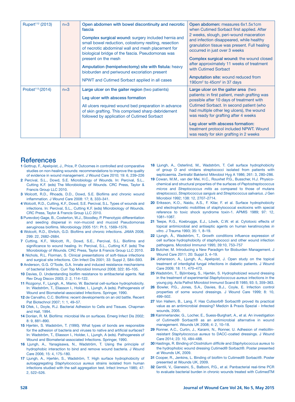| Rupert <sup>112</sup> (2013) | $n=3$ | Open abdomen with bowel discontinuity and necrotic<br>fascia<br>Complex surgical wound: surgery included hernia and<br>small bowel reduction, colostomy resiting, resection<br>of necrotic abdominal wall and mesh placement for<br>biological bridge of the fascia. Pseudomonas was<br>present on the mesh<br>Amputation (hemipelvectomy) site with fistula: heavy<br>bioburden and periwound excoriation present<br>NPWT and Cutimed Sorbact applied in all cases | Open abdomen: measures 6x1.5x1cm<br>when Cutimed Sorbact first applied. After<br>2 weeks, slough, peri-wound maceration<br>and infection disappeared, while healthy<br>granulation tissue was present. Full healing<br>occurred in just over 3 weeks<br>Complex surgical wound: the wound closed<br>after approximately 11 weeks of treatment<br>with Cutimed Sorbact<br>Amputation site: wound reduced from<br>190 $cm2$ to 45 $cm2$ in 37 days |
|------------------------------|-------|---------------------------------------------------------------------------------------------------------------------------------------------------------------------------------------------------------------------------------------------------------------------------------------------------------------------------------------------------------------------------------------------------------------------------------------------------------------------|--------------------------------------------------------------------------------------------------------------------------------------------------------------------------------------------------------------------------------------------------------------------------------------------------------------------------------------------------------------------------------------------------------------------------------------------------|
| Probst <sup>113</sup> (2014) | $n=3$ | Large ulcer on the gaiter region (two patients)<br>Leg ulcer with abscess formation<br>All ulcers required wound bed preparation in advance<br>of skin grafting. This comprised sharp debridement<br>followed by application of Cutimed Sorbact                                                                                                                                                                                                                     | Large ulcer on the gaiter area (two<br>patients: in first patient, mesh grafting was<br>possible after 10 days of treatment with<br>Cutimed Sorbact. In second patient (who<br>had multiple other leg ulcers), the wound<br>was ready for grafting after 4 weeks<br>Leg ulcer with abscess formation:<br>treatment protocol included NPWT. Wound<br>was ready for skin grafting in 2 weeks                                                       |

#### **References**

- 1 Gottrup, F., Apelqvist, J., Price, P. Outcomes in controlled and comparative studies on non-healing wounds: recommendations to improve the quality of evidence in wound management. J Wound Care 2010; 19: 6, 239–226
- 2 Percival, S.L., Dowd, S.E. Microbiology of Wounds. In: Percival, S.L., Cutting K.F. (eds) The Microbiology of Wounds. CRC Press, Taylor & Francis Group LLC 2010.
- 3 Wolcott, R.D., Rhoads, D.D., Dowd, S.E. Biofilms and chronic wound inflammation. J Wound Care 2008: 17; 8, 333–341.
- 4 Wolcott, R.D., Cutting, K.F., Dowd, S.E. Percival, S.L. Types of wounds and infections. In: Percival, S.L., Cutting K.F. (eds) Microbiology of Wounds. CRC Press, Taylor & Francis Group LLC 2010.
- 5 Purevdorj-Gage, B., Costerton, W.J., Stoodley, P. Phenotypic differentiation and seeding dispersal in non-mucoid and mucoid Pseudomonas aeruginosa biofilms. Microbiology 2005 151: Pt 5, 1569–1576.
- 6 Wolcott, R.D., Ehrlich, G.D. Biofilms and chronic infections. JAMA 2008; 299: 22, 2682–2684.
- 7 Cutting, K.F., Wolcott, R., Dowd, S.E., Percival, S.L. Biofilms and significance to wound healing. In: Percival, S.L., Cutting K.F. (eds) The Microbiology of Wounds. CRC Press, Taylor & Francis Group LLC 2010.
- 8 Nichols, R.L. Florman, S. Clinical presentations of soft-tissue infections and surgical site infections. Clin Infect Dis 2001; 33: Suppl 2, S84–S93.
- 9 Anderson, G.G. O'Toole, G.A. Innate and induced resistance mechanisms of bacterial biofilms. Curr Top Microbiol Immunol 2008; 322: 85–105.
- 10 Davies, D. Understanding biofilm resistance to antibacterial agents. Nat Rev Drug Discov 2003; 2: 2, 114–122.
- 11 Rozgonyi, F., Ljungh, A., Mamo, W. Bacterial cell-surface hydrophobicity. In: Wadström, T., Eliasson I., Holder, I., Ljungh, A (eds). Pathogenesis of Wound and Biomaterial-associated Infections. Springer, 1990.
- 12 de Carvalho, C.C. Biofilms: recent developments on an old battle. Recent Pat Biotechnol 2007; 1: 1, 49–57.
- 13 Ofek, I., Doyle, R.J. Bacterial Adhesion to Cells and Tissues. Chapman and Hall, 1994.
- 14 Donlan, R. M. Biofilms: microbial life on surfaces. Emerg Infect Dis 2002; 8: 9, 881–890.
- 15 Hjertén, S. Wadström, T. (1990). What types of bonds are responsible for the adhesion of bacteria and viruses to native and artificial surfaces? In: Wadström, T., Eliasson I., Holder, I., Ljungh, A (eds). Pathogenesis of Wound and Biomaterial-associated Infections. Springer, 1990.
- 16 Ljungh, A., Yanagisawa, N., Wadström, T. Using the principle of hydrophobic interaction to bind and remove wound bacteria. J Wound Care 2006; 15: 4, 175–180.
- 17 Ljungh, A., Hjertén, S., Wadström, T. High surface hydrophobicity of autoaggregating *Staphylococcus aureus* strains isolated from human infections studied with the salt aggregation test. Infect Immun 1985; 47: 2, 522–526.
- 18 Ljungh, A., Osterlind, M., Wadström, T. Cell surface hydrophobicity of group D and viridans streptococci isolated from patients with septicaemia. Zentralbl Bakteriol Mikrobiol Hyg A 1986; 261: 3, 280–286.
- 19 Cowan, M.M., van der Mei, H.C., Rouxhet P.G., Busscher, H.J. Physicochemical and structural properties of the surfaces of *Peptostreptococcus micros* and *Streptococcus mitis* as compared to those of mutans streptococci, *Streptococcus sanguis* and *Streptococcus salivarius*. J Gen Microbiol 1992; 138: 12, 2707–2714.
- 20 Eriksson, K.O., Naidu, A.S., F. Kilar, F. et al. Surface hydrophobicity and electrophoretic mobilities of staphylococcal exotoxins with special reference to toxic shock syndrome toxin-1. APMIS 1989; 97: 12, 1081–1087.
- 21 Teepe, R.G., Koebrugge, E.J., Löwik, C.W. et al. Cytotoxic effects of topical antimicrobial and antiseptic agents on human keratinocytes *in vitro*. J Trauma 1993; 35: 1, 8–19.
- 22 Ljungh, Å., Wadström, T., Growth conditions influence expression of cell surface hydrophobicity of staphylococci and other wound infection pathogens. Microbiol Immunol 1995; 39:10, 753–757
- 23 Butcher, M. Introducing a New Paradigm for Bioburden Management. J Wound Care 2011; 20: Suppl 3, 4–19.
- 24 Johansson, A., Ljungh, A., Apelqvist, J. Open study on the topical treatment of interdigital fungal infections in diabetic patients. J Wound Care 2009; 18: 11, 470–473.
- 25 Wadström, T., Björnberg, S., Hjertén, S. Hydrophobized wound dressing in the treatment of experimental *Staphylococcus aureus* infections in the young pig. Acta Pathol Microbiol Immunol Scand B 1985; 93: 5, 359–363.
- 26 Bowler, P.G., Jones, S.A., Davies, B.J., Coyle, E. Infection control properties of some wound dressings. J Wound Care 1999; 8: 10, 499–502.
- 27 Von Hallern, B., Lang, F. Has Cutisorb® Sorbact® proved its practical value as an antimicrobial dressing? Medizin & Praxis Spezial - Infected wounds, 2005.
- 28 Kammerlander, G., Locher, E., Suess-Burghart, A., et al. An investigation of Cutimed® Sorbact® as an antimicrobial alternative in wound management. Wounds UK 2008; 4: 2, 10–18.
- 29 Ronner, A.C., Curtin, J., Karami, N., Ronner, U. Adhesion of meticillinresistant *Staphylococcus aureus* to DACC-coated dressings. J Wound Care 2014; 23: 10, 484–488.
- 30 Hastings, R. Binding of *Clostridium difficile* and *Staphylococcus aureus* to the hydrophobic wound dressing Cutimed® Sorbact®. Poster presented at Wounds UK, 2009.
- 31 Cooper, R., Jenkins, L. Binding of biofilm to Cutimed® Sorbact®. Poster presented at Wounds UK, 2009.
- 32 Gentili, V., Gianesini, S., Balboni, P.G., et al. Panbacterial real-time PCR to evaluate bacterial burden in chronic wounds treated with CutimedTM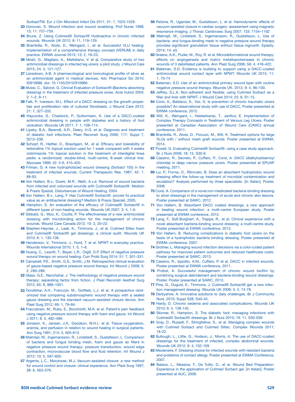SorbactTM. Eur J Clin Microbiol Infect Dis 2011; 31: 7, 1523-1529.

- 33 Donovan, S. Wound infection and wound swabbing. Prof Nurse 1998; 13; 11: 757–759.
- 34 Bruce, Z. Using Cutimed® Sorbact® Hydroactive in chronic infected wounds. Wounds UK 2012; 8: 11, 119–129.
- 35 Brambilla, R., Aloisi, D., Weingard, I., et al. Successful VLU healing: Implementation of a comprehensive therapy concept (VERUM) in daily practice. EWMA Journal 2013; 13: 2, 19–23.
- 36 Mosti, G., Magliaro, A., Mattaliano, V. et al. Comparative study of two antimicrobial dressings in infected leg ulcers: a pilot study. J Wound Care 2015; 24: 3, 121–127.
- 37 Lansdown, A.B. A pharmacological and toxicological profile of silver as an antimicrobial agent in medical devices, Adv Pharmacol Sci 2010; ID910686, doi: 10.1155/2010/910686.
- 38 Mussi, C., Salvioli, G. Clinical Evaluation of Sorbact® (Bacteria absorbing dressing) in the treatment of infected pressure sores. Acta Vulnol 2004; 2: 1–2, 9–11.
- 39 Falk, P., Ivarsson, M.L. Effect of a DACC dressing on the growth properties and proliferation rate of cultured fibroblasts. J Wound Care 2012; 21: 7, 327–332.
- 40 Haycocks, S., Chadwick, P., Guttormsen, K. Use of a DACC-coated antimicrobial dressing in people with diabetes and a history of foot ulceration. Wounds UK 2011; 7: 1, 108–114.
- 41 Lipsky, B.A., Berendt, A.R., Deery, H.G. et al. Diagnosis and treatment of diabetic foot infections. Plast Reconstr Surg 2006; 117: Suppl 7, S212–238.
- 42 Schopf, R., Hettler, O., Brautigam, M., et al. Efficacy and tolerability of terbinafine 1% topical solution used for 1 week compared with 4 weeks clotrimazole 1% topical solution in the treatment of interdigital tinea pedis: a randomized, double-blind, multi-centre, 8-week clinical trial. Mycoses 1999; 42: 5-6, 415–420.
- 43 Friman, G. A new hydrophobized wound dressing (Sorbact 105) in the treatment of infected wounds. Current Therapeutic Res. 1987; 42: 1, 88-93.
- 44 Von Hallern, B.v., Doerk, M.R., Weth, A.v.d. Removal of wound bacteria from infected and colonized wounds with Cutimed® Sorbact®. Medizin & Praxis Spezial, Disturbances of Wound Healing, 2004.
- 45 Von Hallern, B.v., Lang, F. Has Cutimed® Sorbact®. proved its practical value as an antibacterial dressing? Medizin & Praxis Speziali, 2005.
- 46 Hampton, S. An evaluation of the efficacy of Cutimed® Sorbact® in different types of non-healing wounds. Wounds UK 2007; 3: 4, 1-6.
- 47 Sibbald, G., Woo, K., Coutts, P. The effectiveness of a new antimicrobial dressing with microbinding action for the management of chronic wounds. Wound Care Canada 2012; 10: 3, 20–22.
- 48 Stephen-Haynes, J., Leak, K., Timmons, J., et al. Cutimed Siltec foam and Cutimed® Sorbact® gel dressings: a clinical audit. Wounds UK 2010; 6: 1, 130-136.
- 49 Henderson, V., Timmons, J., Hurd, T. et al. NPWT in everyday practice. Wounds International 2010; 1: 5, 1–6.
- 50 Huang, C., Leavitt, T., Bayer, L.R., Orgill, D.P. Effect of negative pressure wound therapy on wound healing. Curr Probl Surg 2014; 51: 7, 301–331.
- 51 Campbell, P.E., Smith, G.S., Smith, J.M. Retrospective clinical evaluation of gauze-based negative pressure wound therapy. Int Wound J 2008; 5: 2, 280–286.
- 52 Glass, G.E., Nanchahal, J. The methodology of negative pressure wound therapy: separating factor from fiction. J Plast Reconstr Aesthet Surg 2012; 65: 8, 989–1001.
- 53 Dorafshar, A.H., Franczyk, M., Gottlieb, L.J. et al. A prospective randomized trial comparing subatmospheric wound therapy with a sealed gauze dressing and the standard vacuum-assisted closure device. Ann Plast Surg 2012; 69: 1, 79–84.
- 54 Fraccalvieri, M., Ruka, E., Bocchiotti, M.A. et al. Patient's pain feedback using negative pressure wound therapy with foam and gauze. Int Wound J 2011; 8: 5, 492–499.
- 55 Jonsson, K., Jensen, J.A., Goodson, W.H.I., et al. Tissue oxygenation, anemia, and perfusion in relation to wound healing in surgical patients. Ann Surg 1991; 214: 5, 605-613.
- 56 Malmsjö, M., Ingemansson, R., Lindstedt, S., Gustafsson, L. Comparison of bacteria and fungus binding mesh, foam and gauze as fillers in negative pressure wound therapy: pressure transduction, wound edge contraction, microvascular blood flow and fluid retention. Int Wound J 2012; 10: 5, 597–605.
- 57 Argenta, L.C., Morykwas, M.J. Vacuum-assisted closure: a new method for wound control and closure: clinical experience. Ann Plast Surg 1997; 38: 6, 563–576.
- 58 Petzina, R., Ugander, M., Gustafsson, L. et al. Hamodynamic effects of vacuum-assisted closure in cardiac surgery: assessment using magnetic resonance imaging. J Thorac Cardiovasc Surg 2007; 133: 1154–1162
- 59 Malmsjö, M., Lindstedt, S., Ingemansson, R., Gustafsson, L. Use of bacteria- and fungus-binding mesh in negative pressure wound therapy provides significant granulation tissue without tissue ingrowth. Eplasty. 2014; 14: e3.
- 60 Greene, A.K., Puder, M., Roy, R. et al. Microdeformational wound therapy: effects on angiogenesis and matrix metalloproteinases in chronic wounds of 3 debilitated patients. Ann Plast Surg 2006; 56: 4, 418–422.
- 61 Bateman, S.D. Evidence is building to support using a DACC-coated antimicrobial wound contact layer with NPWT. Wounds UK 2015; 11: 1, 70-74
- 62 Bateman, S.D. Use of an antimicrobial primary wound layer with routine negative pressure wound therapy. Wounds UK. 2013; 9: 4, 96–100.
- 63 Jeffrey, S.L.A. Non-adherent and flexible: using Cutimed Sorbact as a filler and liner with NPWT. J Wound Care 2014; 23: 8, S1-15.
- 64 Corsi, A., Baldacci, S., Visi, G. Is prevention of chronic traumatic ulcers possible? An observational study with use of DACC. Poster presented at EWMA conference, 2012.
- 65 Will, K., Weingard, I., Heisterkamp, T., Janthur, E. Implementation of Complex Therapy Concepts in Treatment of Venous Leg Ulcers. Poster presented at Canadian Association of Wound Care (CAWC) annual conference, 2011.
- 66 Brambilla, R., Aloisi, D., Fioruzzi, M., Will, K. Treatment options for large VLUs with / without mesh graft wounds. Poster presented at EWMA, 2014.
- 67 Powell, G. Evaluating Cutimed® Sorbact®: using a case study approach. Br J Nurs 2009; 18: 15, S30-6.
- 68 Cassino, R., Secreto, P., Cuffaro, P., Corsi, A. DACC (dialkylcarbamoyl chloride) in deep narrow pressure ulcers. Poster presented at EPUAP meeting, 2011.
- 69 Lui, P., Forma, O., Ritrovato, B. Does an absorbent hydrophobic wound dressing affect the follow-up treatment of microbial contamination and exudation? Analysis performed by three specialists. [In Italian]. Poster, 2008.
- 70 Corsi, A. Comparison of a novel non-medicated bacteria-binding dressing to silver dressings in the management of acute and chronic skin lesions. Poster presented at SAWC, 2012.
- 71 Von Hallern, B. Absorbent DACC coated dressings, a new approach in treating wound infection: a multi-centre European study. Poster presented at EWMA conference, 2012.
- 72 Lang, F., Süß-Burghart, A., Trappe, R., et al. Clinical experience with a novel absorbent bacteria-binding wound dressing: a multi-centre study. Poster presented at EWMA conference, 2013.
- 73 Von Hallern, B. Reducing complications in diabetic foot ulcers on the basis of a hydrophobic bacteria binding dressing. Poster presented at EWMA conference, 2007.
- 74 Grothier, L. Managing wound infection decisions via a color-coded patient pathway for improved patient outcomes and reduced healthcare costs. Poster presented at SAWC, 2013.
- 75 Cassino, R., Ippolito, A.M., Cuffaro, P. et al. DACC in infected wounds. Poster presented at EWMA conference, 2011.
- 76 Probst, A. Successful management of chronic wound biofilm by combining surgical debridement and bacteria-binding wound dressings. Poster. Poster presented at SAWC, 2013.
- 77 Pirie, G., Duguid, K., Timmons, J. Cutimed® Sorbact® gel: a new infection management dressing. Wounds UK 2009; 5: 2, 74-78.
- 78 Derbyshire, A. Innovative solutions to daily challenges. Br J Community Nurs. 2010; Suppl S38, S40-45.
- 79 Hardy, D. Chronic oedema and associated complications. Wounds UK 2010; 6: 4, 138-145.
- 80 Skinner, R., Hampton, S. The diabetic foot: managing infections with Cutimed© Sorbact© dressings. Br J Nurs 2010; 19: 11, S30-S36
- 81 Gray, D., Russell, F., Stringfellow, S., et al. Managing complex wounds with Cutimed Sorbact and Cutimed Siltec. Complex Wounds 2011; 18-22.
- 82 Bullough, L., Little, G., Hodson, J., Morris, A. The use of DACC-coated dressings for the treatment of infected, complex abdominal wounds. Wounds UK 2012; 8: 4, 102-109.
- 83 Meuleneire, F. Dressing choice for infected wounds with resistant bacteria and problems of contact allergy. Poster presented at EWMA Conference, 2007.
- 84 Baiano, L., Messina, F., De Tullio, D., et al. Wound Bed Preparation: Experience in the application of Cutimed Sorbact gel. [in Italian]. Poster presented at AUC, 2008.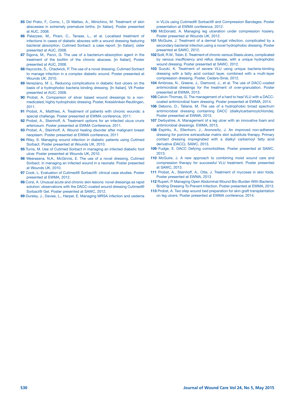- 85 Del Prato, F., Como, I., Di Matteo, A., Minichino, M. Treatment of skin abscesses in extremely premature births. [in Italian]. Poster presented at AUC, 2008.
- 86 Palazzesi, M., Pirani, C., Tanase, L., et al. Localised treatment of infections in cases of diabetic abscess with a wound dressing featuring bacterial absorption, Cutimed Sorbact: a case report. [in Italian]. oster presented at AUC, 2008.
- 87 Sigona, M., Pecci, G. The use of a bacterium-absorption agent in the treatment of the biofilm of the chronic abscess. [in Italian]. Poster presented at AUC, 2008.
- 88 Haycocks, S., Chadwick, P. The use of a novel dressing, Cutimed Sorbact to manage infection in a complex diabetic wound. Poster presented at Wounds UK, 2010.
- 89 Veneziano, M .L. Reducing complications in diabetic foot ulcers on the basis of a hydrophobic bacteria binding dressing. [In Italian]. VII Poster presented at AUC, 2008.
- 90 Probst, A. Comparison of silver based wound dressings to a nonmedicated, highly hydrophobic dressing. Poster, Kreiskliniken Reutlingen, 2011.
- 91 Probst, A., Matthies, A. Treatment of patients with chronic wounds: a special challenge. Poster presented at EWMA conference, 2011.
- 92 Probst, A., Steinhoff, A. Treatment options for an infected ulcus cruris arteriosum. Poster presented at EWMA Conference, 2011.
- 93 Probst, A., Steinhoff, A. Wound healing disorder after malignant breast neoplasm. Poster presented at EWMA conference, 2011
- 94 Riley, S. Managing wound infection in diabetic patients using Cutimed Sorbact. Poster presented at Wounds UK, 2010.
- 95 Turns, M. Use of Cutimed Sorbact in managing an infected diabetic foot ulcer. Poster presented at Wounds UK, 2010.
- 96 Weerasena, N.A., McGinnis, E. The use of a novel dressing, Cutimed Sorbact, in managing an infected wound in a neonate. Poster presented at Wounds UK, 2010.
- 97 Cook, L. Evaluation of Cutimed® Sorbact®: clinical case studies. Poster presented at EWMA, 2012.
- 98 Corsi, A. Unusual acute and chronic skin lesions: novel dressings as rapid solution: observations with the DACC-coated wound dressing Cutimed® Sorbact® Gel. Poster presented at SAWC, 2012.
- 99 Dursley, J., Davies, L., Harper, E. Managing MRSA infection and oedema

in VLUs using Cutimed® Sorbact® and Compression Bandages. Poster presentation at EWMA conference, 2012.

- 100 McDonald, A. Managing leg ulceration under compression hosiery. Poster presented at Wounds UK, 2012.
- 101 McGuire, J. Treatment of a dermal fungal infection, complicated by a secondary bacterial infection,using a novel hydrophobic dressing. Poster presented at SAWC, 2012.
- 102 Solit, R.W., Tobin, E. Treatment of chronic venous Stasis ulcers, complicated by venous insufficiency and reflux disease, with a unique hydrophobic wound dressing. Poster presented at SAWC, 2012.
- 103 Suzuki, K. Treatment of severe VLU using unique bacteria-binding dressing with a fatty acid contact layer, combined with a multi-layer compression dressing. Poster, Cedars-Sinai, 2012.
- 104 Ambrose, N., Greene, J., Diamond, J., et al. The use of DACC-coated antimicrobial dressings for the treatment of over-granulation. Poster presented at EWMA, 2013.
- 105 Calvin-Thomas, G. The management of a hard to heal VLU with a DACCcoated antimicrobial foam dressing. Poster presented at EWMA, 2014.
- 106 Debono, D., Taliana, M. The use of a hydrophobic broad spectrum antimicrobial dressing containing DACC (dialkylcarbamoylchloride). Poster presented at EWMA, 2013.
- 107 Derbyshire, A. Management of a leg ulcer with an innovative foam and antimicrobial dressings. EWMA, 2013.
- 108 Espiritu, A., Ellenhorn, J., Aronowitz, J. An improved non-adherent dressing for porcine extracellular matrix skin substitute therapy. Primary contact dressing impregnated with a dialkyl carbamoyl fatty acid derivative (DACC). SAWC, 2013.
- 109 Fudge, E. DACC Defying comorbidities. Poster presented at SAWC, 2013.
- 110 McGuire, J. A new approach to combining moist wound care and compression therapy for successful VLU treatment. Poster presented at SAWC, 2013.
- 111 Probst, A., Steinhoff, A., Otte, J. Treatment of mycoses in skin folds. Poster presented at EWMA, 2013
- 112 Rupert, P. Managing Open Abdominal Wound Bio-Burden With Bacteria-Binding Dressing To Prevent Infection. Poster presented at EWMA, 2013.
- 113 Probst, A. Two step wound bed preparation for skin graft transplantation on leg ulcers. Poster presented at EWMA conference, 2014.